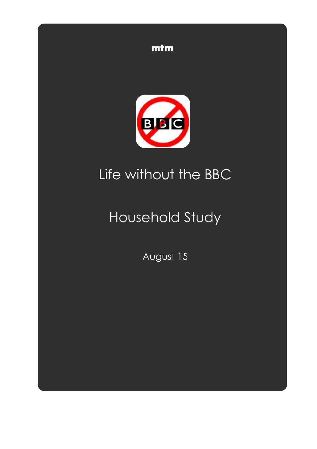



# Life without the BBC

# Household Study

August 15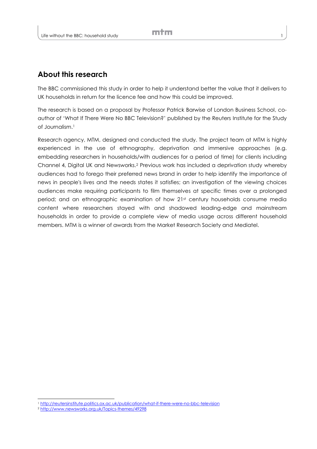# **About this research**

The BBC commissioned this study in order to help it understand better the value that it delivers to UK households in return for the licence fee and how this could be improved.

The research is based on a proposal by Professor Patrick Barwise of London Business School, coauthor of 'What If There Were No BBC Television?' published by the Reuters Institute for the Study of Journalism.<sup>1</sup>

Research agency, MTM, designed and conducted the study. The project team at MTM is highly experienced in the use of ethnography, deprivation and immersive approaches (e.g. embedding researchers in households/with audiences for a period of time) for clients including Channel 4, Digital UK and Newsworks.<sup>2</sup> Previous work has included a deprivation study whereby audiences had to forego their preferred news brand in order to help identify the importance of news in people's lives and the needs states it satisfies; an investigation of the viewing choices audiences make requiring participants to film themselves at specific times over a prolonged period; and an ethnographic examination of how 21st century households consume media content where researchers stayed with and shadowed leading-edge and mainstream households in order to provide a complete view of media usage across different household members. MTM is a winner of awards from the Market Research Society and Mediatel.

l

<sup>1</sup> <http://reutersinstitute.politics.ox.ac.uk/publication/what-if-there-were-no-bbc-television>

<sup>2</sup> <http://www.newsworks.org.uk/Topics-themes/49298>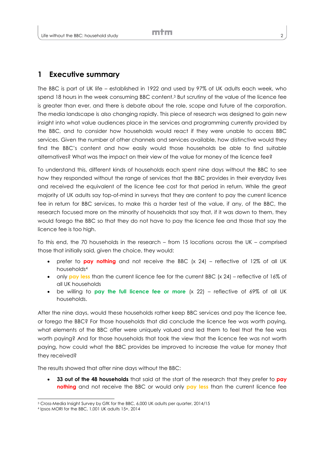## **1 Executive summary**

The BBC is part of UK life – established in 1922 and used by 97% of UK adults each week, who spend 18 hours in the week consuming BBC content.<sup>3</sup> But scrutiny of the value of the licence fee is greater than ever, and there is debate about the role, scope and future of the corporation. The media landscape is also changing rapidly. This piece of research was designed to gain new insight into what value audiences place in the services and programming currently provided by the BBC, and to consider how households would react if they were unable to access BBC services. Given the number of other channels and services available, how distinctive would they find the BBC's content and how easily would those households be able to find suitable alternatives? What was the impact on their view of the value for money of the licence fee?

To understand this, different kinds of households each spent nine days without the BBC to see how they responded without the range of services that the BBC provides in their everyday lives and received the equivalent of the licence fee cost for that period in return. While the great majority of UK adults say top-of-mind in surveys that they are content to pay the current licence fee in return for BBC services, to make this a harder test of the value, if any, of the BBC, the research focused more on the minority of households that say that, if it was down to them, they would forego the BBC so that they do not have to pay the licence fee and those that say the licence fee is too high.

To this end, the 70 households in the research – from 15 locations across the UK – comprised those that initially said, given the choice, they would:

- prefer to **pay nothing** and not receive the BBC (x 24) reflective of 12% of all UK households<sup>4</sup>
- only **pay less** than the current licence fee for the current BBC (x 24) reflective of 16% of all UK households
- be willing to **pay the full licence fee or more** (x 22) reflective of 69% of all UK households.

After the nine days, would these households rather keep BBC services and pay the licence fee, or forego the BBC? For those households that did conclude the licence fee was worth paying, what elements of the BBC offer were uniquely valued and led them to feel that the fee was worth paying? And for those households that took the view that the licence fee was not worth paying, how could what the BBC provides be improved to increase the value for money that they received?

The results showed that after nine days without the BBC:

 **33 out of the 48 households** that said at the start of the research that they prefer to **pay nothing** and not receive the BBC or would only pay less than the current licence fee

l

<sup>3</sup> Cross-Media Insight Survey by GfK for the BBC, 6,000 UK adults per quarter, 2014/15

<sup>4</sup> Ipsos MORI for the BBC, 1,001 UK adults 15+, 2014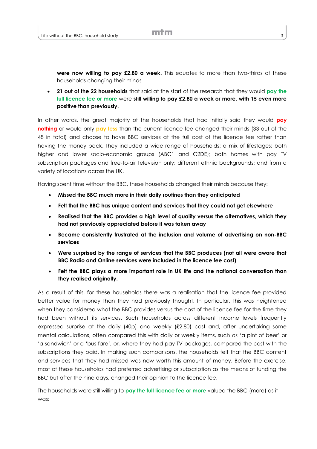**were now willing to pay £2.80 a week**. This equates to more than two-thirds of these households changing their minds

 **21 out of the 22 households** that said at the start of the research that they would **pay the full licence fee or more** were **still willing to pay £2.80 a week or more, with 15 even more positive than previously.**

In other words, the great majority of the households that had initially said they would **pay nothing** or would only **pay less** than the current licence fee changed their minds (33 out of the 48 in total) and choose to have BBC services at the full cost of the licence fee rather than having the money back. They included a wide range of households: a mix of lifestages; both higher and lower socio-economic groups (ABC1 and C2DE); both homes with pay TV subscription packages and free-to-air television only; different ethnic backgrounds; and from a variety of locations across the UK.

Having spent time without the BBC, these households changed their minds because they:

- **Missed the BBC much more in their daily routines than they anticipated**
- **Felt that the BBC has unique content and services that they could not get elsewhere**
- **Realised that the BBC provides a high level of quality versus the alternatives, which they had not previously appreciated before it was taken away**
- **Became consistently frustrated at the inclusion and volume of advertising on non-BBC services**
- **Were surprised by the range of services that the BBC produces (not all were aware that BBC Radio and Online services were included in the licence fee cost)**
- **Felt the BBC plays a more important role in UK life and the national conversation than they realised originally.**

As a result of this, for these households there was a realisation that the licence fee provided better value for money than they had previously thought. In particular, this was heightened when they considered what the BBC provides versus the cost of the licence fee for the time they had been without its services. Such households across different income levels frequently expressed surprise at the daily (40p) and weekly (£2.80) cost and, after undertaking some mental calculations, often compared this with daily or weekly items, such as 'a pint of beer' or 'a sandwich' or a 'bus fare', or, where they had pay TV packages, compared the cost with the subscriptions they paid. In making such comparisons, the households felt that the BBC content and services that they had missed was now worth this amount of money. Before the exercise, most of these households had preferred advertising or subscription as the means of funding the BBC but after the nine days, changed their opinion to the licence fee.

The households were still willing to **pay the full licence fee or more** valued the BBC (more) as it was: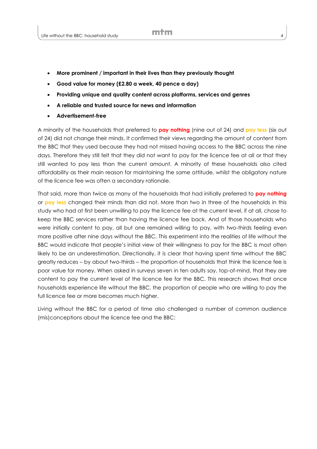- **More prominent / important in their lives than they previously thought**
- **Good value for money (£2.80 a week, 40 pence a day)**
- **Providing unique and quality content across platforms, services and genres**
- **A reliable and trusted source for news and information**
- **Advertisement-free**

A minority of the households that preferred to **pay nothing** (nine out of 24) and **pay less** (six out of 24) did not change their minds. It confirmed their views regarding the amount of content from the BBC that they used because they had not missed having access to the BBC across the nine days. Therefore they still felt that they did not want to pay for the licence fee at all or that they still wanted to pay less than the current amount. A minority of these households also cited affordability as their main reason for maintaining the same attitude, whilst the obligatory nature of the licence fee was often a secondary rationale.

That said, more than twice as many of the households that had initially preferred to **pay nothing** or **pay less** changed their minds than did not. More than two in three of the households in this study who had at first been unwilling to pay the licence fee at the current level, if at all, chose to keep the BBC services rather than having the licence fee back. And of those households who were initially content to pay, all but one remained willing to pay, with two-thirds feeling even more positive after nine days without the BBC. This experiment into the realities of life without the BBC would indicate that people's initial view of their willingness to pay for the BBC is most often likely to be an underestimation. Directionally, it is clear that having spent time without the BBC greatly reduces – by about two-thirds – the proportion of households that think the licence fee is poor value for money. When asked in surveys seven in ten adults say, top-of-mind, that they are content to pay the current level of the licence fee for the BBC. This research shows that once households experience life without the BBC, the proportion of people who are willing to pay the full licence fee or more becomes much higher.

Living without the BBC for a period of time also challenged a number of common audience (mis)conceptions about the licence fee and the BBC: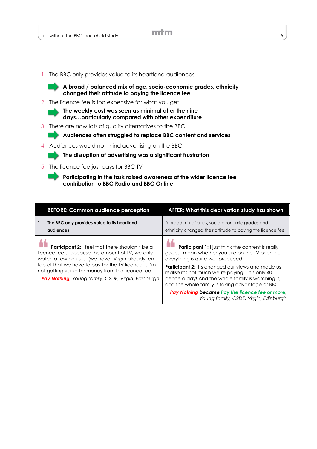1. The BBC only provides value to its heartland audiences



**A broad / balanced mix of age, socio-economic grades, ethnicity changed their attitude to paying the licence fee**

2. The licence fee is too expensive for what you get

**The weekly cost was seen as minimal after the nine days…particularly compared with other expenditure** 

3. There are now lots of quality alternatives to the BBC

**Audiences often struggled to replace BBC content and services**

4. Audiences would not mind advertising on the BBC

#### **The disruption of advertising was a significant frustration**

- 5. The licence fee just pays for BBC TV
	- **Participating in the task raised awareness of the wider licence fee contribution to BBC Radio and BBC Online**

| <b>BEFORE: Common audience perception</b>                                                                                                                                                                                                                                                                           | AFTER: What this deprivation study has shown                                                                                                                                                                                                                                                                                                                                                                                                                       |
|---------------------------------------------------------------------------------------------------------------------------------------------------------------------------------------------------------------------------------------------------------------------------------------------------------------------|--------------------------------------------------------------------------------------------------------------------------------------------------------------------------------------------------------------------------------------------------------------------------------------------------------------------------------------------------------------------------------------------------------------------------------------------------------------------|
| The BBC only provides value to its heartland<br>1.<br>audiences                                                                                                                                                                                                                                                     | A broad mix of ages, socio-economic grades and<br>ethnicity changed their attitude to paying the licence fee                                                                                                                                                                                                                                                                                                                                                       |
| Participant 2: I feel that there shouldn't be a<br>licence fee because the amount of TV, we only<br>watch a few hours  (we have) Virgin already, on<br>top of that we have to pay for the TV licence I'm<br>not getting value for money from the licence fee.<br>Pay Nothing, Young family, C2DE, Virgin, Edinburgh | <b>Participant 1:</b> I just think the content is really<br>good. I mean whether you are on the TV or online,<br>everything is quite well produced.<br>Participant 2: It's changed our views and made us<br>realise it's not much we're paying - it's only 40<br>pence a day! And the whole family is watching it,<br>and the whole family is taking advantage of BBC.<br>Pay Nothing became Pay the licence fee or more,<br>Young family, C2DE, Virgin, Edinburgh |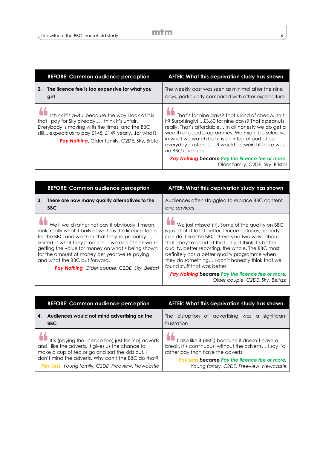| <b>BEFORE: Common audience perception</b>                                                                                                                                                                                                                       | AFTER: What this deprivation study has shown                                                                                                                                                                                                                                                                                                                                                                                                              |
|-----------------------------------------------------------------------------------------------------------------------------------------------------------------------------------------------------------------------------------------------------------------|-----------------------------------------------------------------------------------------------------------------------------------------------------------------------------------------------------------------------------------------------------------------------------------------------------------------------------------------------------------------------------------------------------------------------------------------------------------|
| The licence fee is too expensive for what you<br>2.<br>get                                                                                                                                                                                                      | The weekly cost was seen as minimal after the nine<br>days, particularly compared with other expenditure                                                                                                                                                                                                                                                                                                                                                  |
| I think it's awful because the way I look at it is<br>that I pay for Sky already I think it's unfair.<br>Everybody is moving with the times, and the BBC<br>still expects us to pay £145, £149 yearlyfor what?<br>Pay Nothing, Older family, C2DE, Sky, Bristol | That's for nine days? That's kind of cheap, isn't<br>it? Surprisingly! £3.60 for nine days? That's peanuts<br>really. That's affordable In all honesty we do get a<br>wealth of good programmes. We might be selective<br>in what we watch but it is an integral part of our<br>everyday existence It would be weird if there was<br>no BBC channels.<br>Pay Nothing became Pay the licence fee or more,<br>Older family, C <sub>2</sub> DE, Sky, Bristol |

| <b>BEFORE: Common audience perception</b>                                                                                                                                                                                                                                                                                                                                                                  | AFTER: What this deprivation study has shown                                                                                                                                                                                                                                                                                                                                                                     |
|------------------------------------------------------------------------------------------------------------------------------------------------------------------------------------------------------------------------------------------------------------------------------------------------------------------------------------------------------------------------------------------------------------|------------------------------------------------------------------------------------------------------------------------------------------------------------------------------------------------------------------------------------------------------------------------------------------------------------------------------------------------------------------------------------------------------------------|
| 3.<br>There are now many quality alternatives to the<br><b>BBC</b>                                                                                                                                                                                                                                                                                                                                         | Audiences often struggled to replace BBC content<br>and services                                                                                                                                                                                                                                                                                                                                                 |
| Well, we'd rather not pay it obviously. I mean,<br>look, really what it boils down to is the licence fee is<br>for the BBC and we think that they're probably<br>limited in what they produce we don't think we're<br>getting the value for money on what's being shown<br>for the amount of money per year we're paying<br>and what the BBC put forward.<br>Pay Nothing, Older couple, C2DE, Sky, Belfast | We just missed (it). Some of the quality on BBC<br>is just that little bit better. Documentaries, nobody<br>can do it like the BBC, there's no two ways about<br>that. They're good at that I just think it's better<br>quality, better reporting, the whole. The BBC most<br>definitely has a better quality programme when<br>they do something I don't honestly think that we<br>found stuff that was better. |
|                                                                                                                                                                                                                                                                                                                                                                                                            | Pay Nothing became Pay the licence fee or more,<br>Older couple, C <sub>2</sub> DE, Sky, Belfast                                                                                                                                                                                                                                                                                                                 |

| <b>BEFORE: Common audience perception</b>           | AFTER: What this deprivation study has shown          |
|-----------------------------------------------------|-------------------------------------------------------|
| Audiences would not mind advertising on the         | The disruption of advertising was a                   |
| 4.                                                  | sianificant                                           |
| <b>BBC</b>                                          | frustration                                           |
| It's (paying the licence fee) just for (no) adverts | I also like it (BBC) because it doesn't have a        |
| and I like the adverts. It gives us the chance to   | break. It's continuous, without the adverts I say I'd |
| make a cup of tea or go and sort the kids out. I    | rather pay than have the adverts.                     |
| don't mind the adverts. Why can't the BBC do that?  | Pay Less became Pay the licence fee or more,          |
| Pay Less, Young family, C2DE, Freeview, Newcastle   | Young family, C2DE, Freeview, Newcastle               |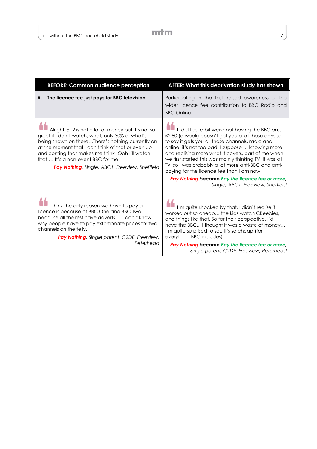| <b>BEFORE: Common audience perception</b>                                                                                                                                                                                                                                                                                                                 | AFTER: What this deprivation study has shown                                                                                                                                                                                                                                                                                                                                                                                                                                                                               |
|-----------------------------------------------------------------------------------------------------------------------------------------------------------------------------------------------------------------------------------------------------------------------------------------------------------------------------------------------------------|----------------------------------------------------------------------------------------------------------------------------------------------------------------------------------------------------------------------------------------------------------------------------------------------------------------------------------------------------------------------------------------------------------------------------------------------------------------------------------------------------------------------------|
| The licence fee just pays for BBC television<br>5.                                                                                                                                                                                                                                                                                                        | Participating in the task raised awareness of the<br>wider licence fee contribution to BBC Radio and<br><b>BBC Online</b>                                                                                                                                                                                                                                                                                                                                                                                                  |
| Alright, £12 is not a lot of money but it's not so<br>great if I don't watch, what, only 30% of what's<br>being shown on thereThere's nothing currently on<br>at the moment that I can think of that or even up<br>and coming that makes me think 'Ooh I'll watch<br>that' It's a non-event BBC for me.<br>Pay Nothing, Single, ABC1, Freeview, Sheffield | It did feel a bit weird not having the BBC on<br>£2.80 (a week) doesn't get you a lot these days so<br>to say it gets you all those channels, radio and<br>online, it's not too bad, I suppose  knowing more<br>and realising more what it covers, part of me when<br>we first started this was mainly thinking TV, it was all<br>TV, so I was probably a lot more anti-BBC and anti-<br>paying for the licence fee than I am now.<br>Pay Nothing became Pay the licence fee or more,<br>Single, ABC1, Freeview, Sheffield |
| I think the only reason we have to pay a<br>licence is because of BBC One and BBC Two<br>because all the rest have adverts  I don't know<br>why people have to pay extortionate prices for two<br>channels on the telly.<br>Pay Nothing, Single parent, C2DE, Freeview,<br>Peterhead                                                                      | I'm quite shocked by that. I didn't realise it<br>worked out so cheap the kids watch CBeebies,<br>and things like that. So for their perspective, I'd<br>have the BBC I thought it was a waste of money<br>I'm quite surprised to see it's so cheap (for<br>everything BBC includes).<br>Pay Nothing became Pay the licence fee or more,<br>Single parent, C2DE, Freeview, Peterhead                                                                                                                                       |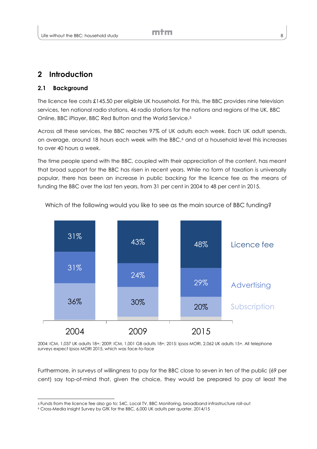# **2 Introduction**

#### **2.1 Background**

l

The licence fee costs £145.50 per eligible UK household. For this, the BBC provides nine television services, ten national radio stations, 46 radio stations for the nations and regions of the UK, BBC Online, BBC iPlayer, BBC Red Button and the World Service.<sup>5</sup>

Across all these services, the BBC reaches 97% of UK adults each week. Each UK adult spends, on average, around 18 hours each week with the BBC, <sup>6</sup> and at a household level this increases to over 40 hours a week.

The time people spend with the BBC, coupled with their appreciation of the content, has meant that broad support for the BBC has risen in recent years. While no form of taxation is universally popular, there has been an increase in public backing for the licence fee as the means of funding the BBC over the last ten years, from 31 per cent in 2004 to 48 per cent in 2015.



Which of the following would you like to see as the main source of BBC funding?

2004: ICM, 1,037 UK adults 18+; 2009: ICM, 1,001 GB adults 18+; 2015: Ipsos MORI, 2,062 UK adults 15+. All telephone surveys expect Ipsos MORI 2015, which was face-to-face

Furthermore, in surveys of willingness to pay for the BBC close to seven in ten of the public (69 per cent) say top-of-mind that, given the choice, they would be prepared to pay at least the

<sup>5</sup> Funds from the licence fee also go to: S4C, Local TV, BBC Monitoring, broadband infrastructure roll-out

<sup>6</sup> Cross-Media Insight Survey by GfK for the BBC, 6,000 UK adults per quarter, 2014/15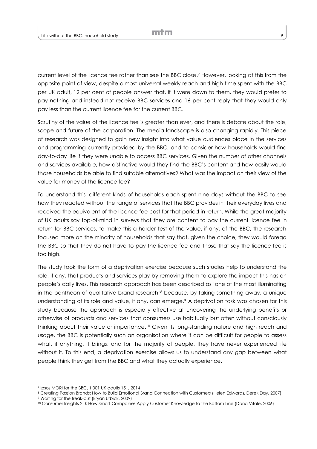current level of the licence fee rather than see the BBC close. <sup>7</sup> However, looking at this from the opposite point of view, despite almost universal weekly reach and high time spent with the BBC per UK adult, 12 per cent of people answer that, if it were down to them, they would prefer to pay nothing and instead not receive BBC services and 16 per cent reply that they would only pay less than the current licence fee for the current BBC.

Scrutiny of the value of the licence fee is greater than ever, and there is debate about the role, scope and future of the corporation. The media landscape is also changing rapidly. This piece of research was designed to gain new insight into what value audiences place in the services and programming currently provided by the BBC, and to consider how households would find day-to-day life if they were unable to access BBC services. Given the number of other channels and services available, how distinctive would they find the BBC's content and how easily would those households be able to find suitable alternatives? What was the impact on their view of the value for money of the licence fee?

To understand this, different kinds of households each spent nine days without the BBC to see how they reacted without the range of services that the BBC provides in their everyday lives and received the equivalent of the licence fee cost for that period in return. While the great majority of UK adults say top-of-mind in surveys that they are content to pay the current licence fee in return for BBC services, to make this a harder test of the value, if any, of the BBC, the research focused more on the minority of households that say that, given the choice, they would forego the BBC so that they do not have to pay the licence fee and those that say the licence fee is too high.

The study took the form of a deprivation exercise because such studies help to understand the role, if any, that products and services play by removing them to explore the impact this has on people's daily lives. This research approach has been described as 'one of the most illuminating in the pantheon of qualitative brand research'<sup>8</sup> because, by taking something away, a unique understanding of its role and value, if any, can emerge. <sup>9</sup> A deprivation task was chosen for this study because the approach is especially effective at uncovering the underlying benefits or otherwise of products and services that consumers use habitually but often without consciously thinking about their value or importance. <sup>10</sup> Given its long-standing nature and high reach and usage, the BBC is potentially such an organisation where it can be difficult for people to assess what, if anything, it brings, and for the majority of people, they have never experienced life without it. To this end, a deprivation exercise allows us to understand any gap between what people think they get from the BBC and what they actually experience.

l

<sup>7</sup> Ipsos MORI for the BBC, 1,001 UK adults 15+, 2014

<sup>&</sup>lt;sup>8</sup> Creating Passion Brands: How to Build Emotional Brand Connection with Customers (Helen Edwards, Derek Day, 2007)

<sup>9</sup> Waiting for the freak-out (Bryan Urbick, 2009)

<sup>10</sup> Consumer Insights 2.0: How Smart Companies Apply Customer Knowledge to the Bottom Line (Dona Vitale, 2006)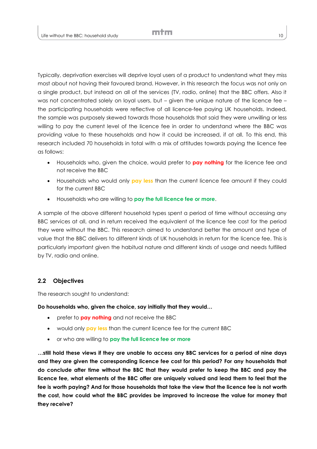Typically, deprivation exercises will deprive loyal users of a product to understand what they miss most about not having their favoured brand. However, in this research the focus was not only on a single product, but instead on all of the services (TV, radio, online) that the BBC offers. Also it was not concentrated solely on loyal users, but – given the unique nature of the licence fee – the participating households were reflective of all licence-fee paying UK households. Indeed, the sample was purposely skewed towards those households that said they were unwilling or less willing to pay the current level of the licence fee in order to understand where the BBC was providing value to these households and how it could be increased, if at all. To this end, this research included 70 households in total with a mix of attitudes towards paying the licence fee as follows:

- Households who, given the choice, would prefer to **pay nothing** for the licence fee and not receive the BBC
- Households who would only **pay less** than the current licence fee amount if they could for the current BBC
- Households who are willing to **pay the full licence fee or more**.

A sample of the above different household types spent a period of time without accessing any BBC services at all, and in return received the equivalent of the licence fee cost for the period they were without the BBC. This research aimed to understand better the amount and type of value that the BBC delivers to different kinds of UK households in return for the licence fee. This is particularly important given the habitual nature and different kinds of usage and needs fulfilled by TV, radio and online.

#### **2.2 Objectives**

The research sought to understand:

**Do households who, given the choice, say initially that they would…**

- prefer to **pay nothing** and not receive the BBC
- would only **pay less** than the current licence fee for the current BBC
- or who are willing to **pay the full licence fee or more**

**…still hold these views if they are unable to access any BBC services for a period of nine days and they are given the corresponding licence fee cost for this period? For any households that do conclude after time without the BBC that they would prefer to keep the BBC and pay the licence fee, what elements of the BBC offer are uniquely valued and lead them to feel that the fee is worth paying? And for those households that take the view that the licence fee is not worth the cost, how could what the BBC provides be improved to increase the value for money that they receive?**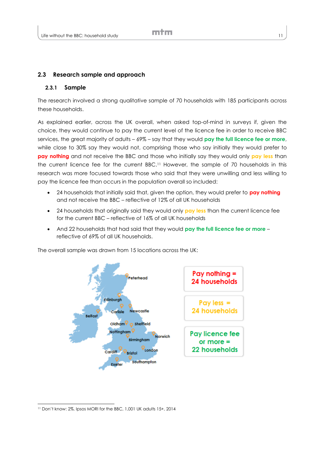#### **2.3 Research sample and approach**

#### **2.3.1 Sample**

The research involved a strong qualitative sample of 70 households with 185 participants across these households.

As explained earlier, across the UK overall, when asked top-of-mind in surveys if, given the choice, they would continue to pay the current level of the licence fee in order to receive BBC services, the great majority of adults – 69% – say that they would **pay the full licence fee or more**, while close to 30% say they would not, comprising those who say initially they would prefer to **pay nothing** and not receive the BBC and those who initially say they would only **pay less** than the current licence fee for the current BBC. <sup>11</sup> However, the sample of 70 households in this research was more focused towards those who said that they were unwilling and less willing to pay the licence fee than occurs in the population overall so included:

- 24 households that initially said that, given the option, they would prefer to **pay nothing** and not receive the BBC – reflective of 12% of all UK households
- 24 households that originally said they would only **pay less** than the current licence fee for the current BBC – reflective of 16% of all UK households
- And 22 households that had said that they would **pay the full licence fee or more** reflective of 69% of all UK households.

The overall sample was drawn from 15 locations across the UK:



l

<sup>11</sup> Don't know: 2%. Ipsos MORI for the BBC, 1,001 UK adults 15+, 2014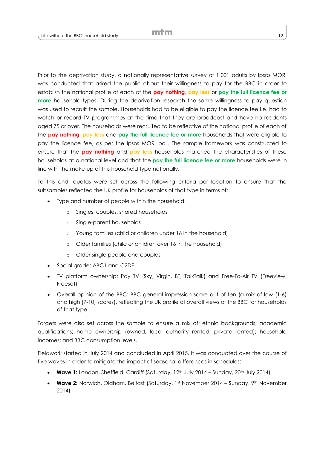Prior to the deprivation study, a nationally representative survey of 1,001 adults by Ipsos MORI was conducted that asked the public about their willingness to pay for the BBC in order to establish the national profile of each of the **pay nothing**, **pay less** or **pay the full licence fee or more** household-types. During the deprivation research the same willingness to pay question was used to recruit the sample. Households had to be eligible to pay the licence fee i.e. had to watch or record TV programmes at the time that they are broadcast and have no residents aged 75 or over. The households were recruited to be reflective of the national profile of each of the **pay nothing**, **pay less** and **pay the full licence fee or more** households that were eligible to pay the licence fee, as per the Ipsos MORI poll. The sample framework was constructed to ensure that the **pay nothing** and **pay less** households matched the characteristics of these households at a national level and that the **pay the full licence fee or more** households were in line with the make-up of this household type nationally.

To this end, quotas were set across the following criteria per location to ensure that the subsamples reflected the UK profile for households of that type in terms of:

- Type and number of people within the household:
	- o Singles, couples, shared households
	- o Single-parent households
	- o Young families (child or children under 16 in the household)
	- o Older families (child or children over 16 in the household)
	- o Older single people and couples
- Social grade: ABC1 and C2DE
- TV platform ownership: Pay TV (Sky, Virgin, BT, TalkTalk) and Free-To-Air TV (Freeview, Freesat)
- Overall opinion of the BBC: BBC general impression score out of ten (a mix of low (1-6) and high (7-10) scores), reflecting the UK profile of overall views of the BBC for households of that type.

Targets were also set across the sample to ensure a mix of: ethnic backgrounds; academic qualifications; home ownership (owned, local authority rented, private rented); household incomes; and BBC consumption levels.

Fieldwork started in July 2014 and concluded in April 2015. It was conducted over the course of five waves in order to mitigate the impact of seasonal differences in schedules:

- **Wave 1:** London, Sheffield, Cardiff (Saturday, 12<sup>th</sup> July 2014 Sunday, 20<sup>th</sup> July 2014)
- **Wave 2:** Norwich, Oldham, Belfast (Saturday, 1st November 2014 Sunday, 9<sup>th</sup> November 2014)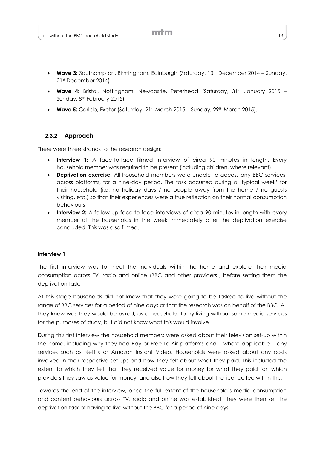- **Wave 3:** Southampton, Birmingham, Edinburgh (Saturday, 13th December 2014 Sunday, 21st December 2014)
- Wave 4: Bristol, Nottingham, Newcastle, Peterhead (Saturday, 31st January 2015 Sunday, 8th February 2015)
- **Wave 5:** Carlisle, Exeter (Saturday, 21st March 2015 Sunday, 29th March 2015).

#### **2.3.2 Approach**

There were three strands to the research design:

- **Interview 1:** A face-to-face filmed interview of circa 90 minutes in length. Every household member was required to be present (including children, where relevant)
- **Deprivation exercise:** All household members were unable to access any BBC services, across platforms, for a nine-day period. The task occurred during a 'typical week' for their household (i.e. no holiday days / no people away from the home / no guests visiting, etc.) so that their experiences were a true reflection on their normal consumption behaviours
- **Interview 2:** A follow-up face-to-face interviews of circa 90 minutes in length with every member of the households in the week immediately after the deprivation exercise concluded. This was also filmed.

#### **Interview 1**

The first interview was to meet the individuals within the home and explore their media consumption across TV, radio and online (BBC and other providers), before setting them the deprivation task.

At this stage households did not know that they were going to be tasked to live without the range of BBC services for a period of nine days or that the research was on behalf of the BBC. All they knew was they would be asked, as a household, to try living without some media services for the purposes of study, but did not know what this would involve.

During this first interview the household members were asked about their television set-up within the home, including why they had Pay or Free-To-Air platforms and – where applicable – any services such as Netflix or Amazon Instant Video. Households were asked about any costs involved in their respective set-ups and how they felt about what they paid. This included the extent to which they felt that they received value for money for what they paid for; which providers they saw as value for money; and also how they felt about the licence fee within this.

Towards the end of the interview, once the full extent of the household's media consumption and content behaviours across TV, radio and online was established, they were then set the deprivation task of having to live without the BBC for a period of nine days.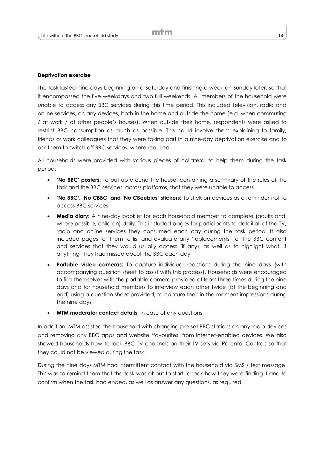#### **Deprivation exercise**

The task lasted nine days beginning on a Saturday and finishing a week on Sunday later, so that it encompassed the five weekdays and two full weekends. All members of the household were unable to access any BBC services during this time period. This included television, radio and online services, on any devices, both in the home and outside the home (e.g. when commuting / at work / at other people's houses). When outside their home, respondents were asked to restrict BBC consumption as much as possible. This could involve them explaining to family, friends or work colleagues that they were taking part in a nine-day deprivation exercise and to ask them to switch off BBC services, where required.

All households were provided with various pieces of collateral to help them during the task period:

- **'No BBC' posters:** To put up around the house, containing a summary of the rules of the task and the BBC services, across platforms, that they were unable to access
- **'No BBC', 'No CBBC' and 'No CBeebies' stickers:** To stick on devices as a reminder not to access BBC services
- **Media diary:** A nine-day booklet for each household member to complete (adults and, where possible, children) daily. This included pages for participants to detail all of the TV, radio and online services they consumed each day during the task period. It also included pages for them to list and evaluate any 'replacements' for the BBC content and services that they would usually access (if any), as well as to highlight what, if anything, they had missed about the BBC each day
- **Portable video cameras:** To capture individual reactions during the nine days (with accompanying question sheet to assist with this process). Households were encouraged to film themselves with the portable camera provided at least three times during the nine days and for household members to interview each other twice (at the beginning and end) using a question sheet provided, to capture their in-the-moment impressions during the nine days
- **MTM moderator contact details:** In case of any questions.

In addition, MTM assisted the household with changing pre-set BBC stations on any radio devices and removing any BBC apps and website 'favourites' from internet-enabled devices. We also showed households how to lock BBC TV channels on their TV sets via Parental Controls so that they could not be viewed during the task.

During the nine days MTM had intermittent contact with the household via SMS / text message. This was to remind them that the task was about to start, check how they were finding it and to confirm when the task had ended, as well as answer any questions, as required.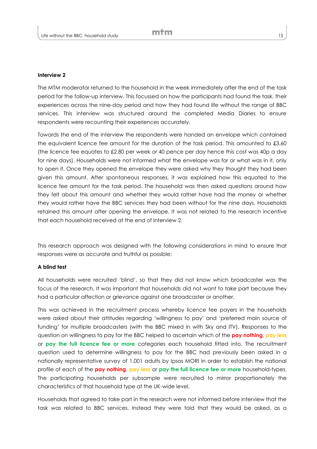#### **Interview 2**

The MTM moderator returned to the household in the week immediately after the end of the task period for the follow-up interview. This focussed on how the participants had found the task, their experiences across the nine-day period and how they had found life without the range of BBC services. This interview was structured around the completed Media Diaries to ensure respondents were recounting their experiences accurately.

Towards the end of the interview the respondents were handed an envelope which contained the equivalent licence fee amount for the duration of the task period. This amounted to £3.60 (the licence fee equates to £2.80 per week or 40 pence per day hence this cost was 40p a day for nine days). Households were not informed what the envelope was for or what was in it, only to open it. Once they opened the envelope they were asked why they thought they had been given this amount. After spontaneous responses, it was explained how this equated to the licence fee amount for the task period. The household was then asked questions around how they felt about this amount and whether they would rather have had the money or whether they would rather have the BBC services they had been without for the nine days. Households retained this amount after opening the envelope. It was not related to the research incentive that each household received at the end of Interview 2.

This research approach was designed with the following considerations in mind to ensure that responses were as accurate and truthful as possible:

#### **A blind test**

All households were recruited 'blind', so that they did not know which broadcaster was the focus of the research. It was important that households did not want to take part because they had a particular affection or grievance against one broadcaster or another.

This was achieved in the recruitment process whereby licence fee payers in the households were asked about their attitudes regarding 'willingness to pay' and 'preferred main source of funding' for multiple broadcasters (with the BBC mixed in with Sky and ITV). Responses to the question on willingness to pay for the BBC helped to ascertain which of the **pay nothing**, **pay less** or **pay the full licence fee or more** categories each household fitted into. The recruitment question used to determine willingness to pay for the BBC had previously been asked in a nationally representative survey of 1,001 adults by Ipsos MORI in order to establish the national profile of each of the **pay nothing**, **pay less** or **pay the full licence fee or more** household-types. The participating households per subsample were recruited to mirror proportionately the characteristics of that household type at the UK-wide level.

Households that agreed to take part in the research were not informed before interview that the task was related to BBC services. Instead they were told that they would be asked, as a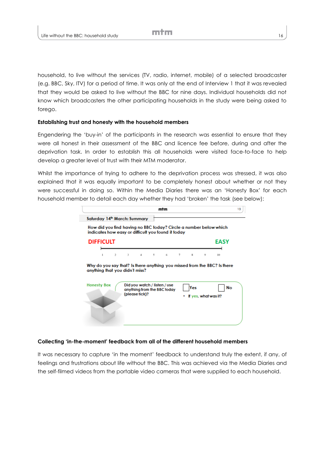household, to live without the services (TV, radio, internet, mobile) of a selected broadcaster (e.g. BBC, Sky, ITV) for a period of time. It was only at the end of Interview 1 that it was revealed that they would be asked to live without the BBC for nine days. Individual households did not know which broadcasters the other participating households in the study were being asked to forego.

#### **Establishing trust and honesty with the household members**

Engendering the 'buy-in' of the participants in the research was essential to ensure that they were all honest in their assessment of the BBC and licence fee before, during and after the deprivation task. In order to establish this all households were visited face-to-face to help develop a greater level of trust with their MTM moderator.

Whilst the importance of trying to adhere to the deprivation process was stressed, it was also explained that it was equally important to be completely honest about whether or not they were successful in doing so. Within the Media Diaries there was an 'Honesty Box' for each household member to detail each day whether they had 'broken' the task (see below):

|                                | mtm                                                                                                                     |                             | 13          |
|--------------------------------|-------------------------------------------------------------------------------------------------------------------------|-----------------------------|-------------|
| Saturday 14th March: Summary   |                                                                                                                         |                             |             |
|                                | How did you find having no BBC today? Circle a number below which<br>indicates how easy or difficult you found it today |                             |             |
| <b>DIFFICULT</b>               |                                                                                                                         |                             | <b>EASY</b> |
| $\overline{c}$                 | $3 -$<br>4<br>$5 -$<br>6                                                                                                | $\mathbf x$<br>7<br>9       | 10          |
| anything that you didn't miss? | Why do you say that? Is there anything you missed from the BBC? Is there                                                |                             |             |
| <b>Honesty Box</b>             | Did you watch / listen / use<br>anything from the BBC today<br>(please fick)?                                           | Yes<br>If yes, what was it? | No          |
|                                |                                                                                                                         |                             |             |

#### **Collecting 'in-the-moment' feedback from all of the different household members**

It was necessary to capture 'in the moment' feedback to understand truly the extent, if any, of feelings and frustrations about life without the BBC. This was achieved via the Media Diaries and the self-filmed videos from the portable video cameras that were supplied to each household.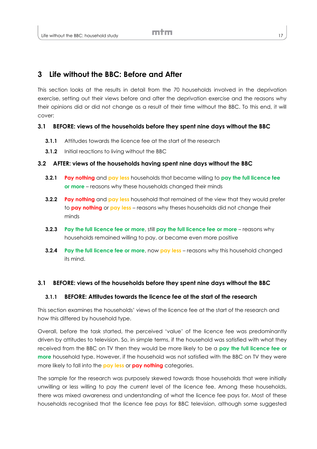# **3 Life without the BBC: Before and After**

This section looks at the results in detail from the 70 households involved in the deprivation exercise, setting out their views before and after the deprivation exercise and the reasons why their opinions did or did not change as a result of their time without the BBC. To this end, it will cover:

#### **3.1 BEFORE: views of the households before they spent nine days without the BBC**

- **3.1.1** Attitudes towards the licence fee at the start of the research
- **3.1.2** Initial reactions to living without the BBC

#### **3.2 AFTER: views of the households having spent nine days without the BBC**

- **3.2.1 Pay nothing** and **pay less** households that became willing to **pay the full licence fee or more** – reasons why these households changed their minds
- **3.2.2 Pay nothing** and **pay less** household that remained of the view that they would prefer to **pay nothing** or **pay less** – reasons why theses households did not change their minds
- **3.2.3 Pay the full licence fee or more**, still **pay the full licence fee or more** reasons why households remained willing to pay, or became even more positive
- **3.2.4 Pay the full licence fee or more**, now **pay less** reasons why this household changed its mind.

#### **3.1 BEFORE: views of the households before they spent nine days without the BBC**

#### **3.1.1 BEFORE: Attitudes towards the licence fee at the start of the research**

This section examines the households' views of the licence fee at the start of the research and how this differed by household type.

Overall, before the task started, the perceived 'value' of the licence fee was predominantly driven by attitudes to television. So, in simple terms, if the household was satisfied with what they received from the BBC on TV then they would be more likely to be a **pay the full licence fee or more** household type. However, if the household was not satisfied with the BBC on TV they were more likely to fall into the **pay less** or **pay nothing** categories.

The sample for the research was purposely skewed towards those households that were initially unwilling or less willing to pay the current level of the licence fee. Among these households, there was mixed awareness and understanding of what the licence fee pays for. Most of these households recognised that the licence fee pays for BBC television, although some suggested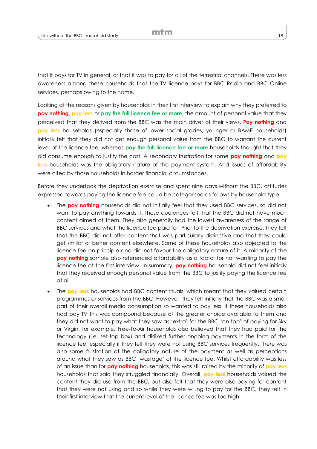that it pays for TV in general, or that it was to pay for all of the terrestrial channels. There was less awareness among these households that the TV licence pays for BBC Radio and BBC Online services, perhaps owing to the name.

Looking at the reasons given by households in their first interview to explain why they preferred to **pay nothing**, **pay less** or **pay the full licence fee or more**, the amount of personal value that they perceived that they derived from the BBC was the main driver of their views. **Pay nothing** and **pay less** households (especially those of lower social grades, younger or BAME households) initially felt that they did not get enough personal value from the BBC to warrant the current level of the licence fee, whereas **pay the full licence fee or more** households thought that they did consume enough to justify the cost. A secondary frustration for some **pay nothing** and **pay less** households was the obligatory nature of the payment system. And issues of affordability were cited by those households in harder financial circumstances.

Before they undertook the deprivation exercise and spent nine days without the BBC, attitudes expressed towards paying the licence fee could be categorised as follows by household type:

- The **pay nothing** households did not initially feel that they used BBC services, so did not want to pay anything towards it. These audiences felt that the BBC did not have much content aimed at them. They also generally had the lowest awareness of the range of BBC services and what the licence fee paid for. Prior to the deprivation exercise, they felt that the BBC did not offer content that was particularly distinctive and that they could get similar or better content elsewhere. Some of these households also objected to the licence fee on principle and did not favour the obligatory nature of it. A minority of the **pay nothing** sample also referenced affordability as a factor for not wanting to pay the licence fee at the first interview. In summary, **pay nothing** household did not feel initially that they received enough personal value from the BBC to justify paying the licence fee at all
- The **pay less** households had BBC content rituals, which meant that they valued certain programmes or services from the BBC. However, they felt initially that the BBC was a small part of their overall media consumption so wanted to pay less. If these households also had pay TV this was compound because of the greater choice available to them and they did not want to pay what they saw as 'extra' for the BBC 'on top' of paying for Sky or Virgin, for example. Free-To-Air households also believed that they had paid for the technology (i.e. set-top box) and disliked further ongoing payments in the form of the licence fee, especially if they felt they were not using BBC services frequently. There was also some frustration at the obligatory nature of the payment as well as perceptions around what they saw as BBC 'wastage' of the licence fee. Whilst affordability was less of an issue than for **pay nothing** households, this was still raised by the minority of **pay less** households that said they struggled financially. Overall, **pay less** households valued the content they did use from the BBC, but also felt that they were also paying for content that they were not using and so while they were willing to pay for the BBC, they felt in their first interview that the current level of the licence fee was too high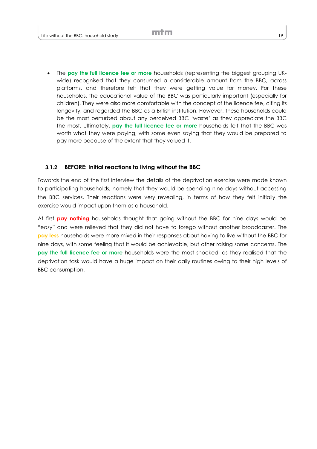The **pay the full licence fee or more** households (representing the biggest grouping UKwide) recognised that they consumed a considerable amount from the BBC, across platforms, and therefore felt that they were getting value for money. For these households, the educational value of the BBC was particularly important (especially for children). They were also more comfortable with the concept of the licence fee, citing its longevity, and regarded the BBC as a British institution. However, these households could be the most perturbed about any perceived BBC 'waste' as they appreciate the BBC the most. Ultimately, **pay the full licence fee or more** households felt that the BBC was worth what they were paying, with some even saying that they would be prepared to pay more because of the extent that they valued it.

#### **3.1.2 BEFORE: Initial reactions to living without the BBC**

Towards the end of the first interview the details of the deprivation exercise were made known to participating households, namely that they would be spending nine days without accessing the BBC services. Their reactions were very revealing, in terms of how they felt initially the exercise would impact upon them as a household.

At first **pay nothing** households thought that going without the BBC for nine days would be "easy" and were relieved that they did not have to forego without another broadcaster. The **pay less** households were more mixed in their responses about having to live without the BBC for nine days, with some feeling that it would be achievable, but other raising some concerns. The **pay the full licence fee or more** households were the most shocked, as they realised that the deprivation task would have a huge impact on their daily routines owing to their high levels of BBC consumption.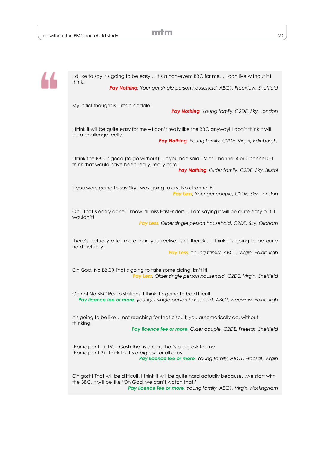

I'd like to say it's going to be easy… it's a non-event BBC for me… I can live without it I think.

*Pay Nothing, Younger single person household, ABC1, Freeview, Sheffield*

My initial thought is – it's a doddle!

*Pay Nothing, Young family, C2DE, Sky, London*

I think it will be quite easy for me – I don't really like the BBC anyway! I don't think it will be a challenge really.

*Pay Nothing, Young family, C2DE, Virgin, Edinburgh,*

I think the BBC is good (to go without)… if you had said ITV or Channel 4 or Channel 5, I think that would have been really, really hard! *Pay Nothing, Older family, C2DE, Sky, Bristol*

If you were going to say Sky I was going to cry. No channel E! *Pay Less, Younger couple, C2DE, Sky, London*

Oh! That's easily done! I know I'll miss EastEnders… I am saying it will be quite easy but it wouldn't!

*Pay Less, Older single person household, C2DE, Sky, Oldham*

There's actually a lot more than you realise, isn't there?... I think it's going to be quite hard actually.

*Pay Less, Young family, ABC1, Virgin, Edinburgh*

Oh God! No BBC? That's going to take some doing, isn't it! *Pay Less, Older single person household, C2DE, Virgin, Sheffield*

Oh no! No BBC Radio stations! I think it's going to be difficult. *Pay licence fee or more, younger single person household, ABC1, Freeview, Edinburgh*

It's going to be like… not reaching for that biscuit; you automatically do, without thinking.

*Pay licence fee or more, Older couple, C2DE, Freesat, Sheffield*

(Participant 1) ITV… Gosh that is a real, that's a big ask for me (Participant 2) I think that's a big ask for all of us. *Pay licence fee or more, Young family, ABC1, Freesat, Virgin*

Oh gosh! That will be difficult! I think it will be quite hard actually because…we start with the BBC. It will be like 'Oh God, we can't watch that!' *Pay licence fee or more, Young family, ABC1, Virgin, Nottingham*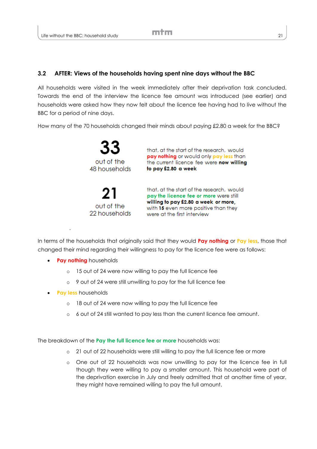#### **3.2 AFTER: Views of the households having spent nine days without the BBC**

All households were visited in the week immediately after their deprivation task concluded. Towards the end of the interview the licence fee amount was introduced (see earlier) and households were asked how they now felt about the licence fee having had to live without the BBC for a period of nine days.

How many of the 70 households changed their minds about paying £2.80 a week for the BBC?

out of the 48 households

out of the 22 households

that, at the start of the research, would pay nothing or would only pay less than the current licence fee were now willing to pay £2.80 a week

that, at the start of the research, would pay the licence fee or more were still willing to pay £2.80 a week or more, with 15 even more positive than they were at the first interview

In terms of the households that originally said that they would **Pay nothing** or **Pay less**, those that changed their mind regarding their willingness to pay for the licence fee were as follows:

**• Pay nothing** households

.

- o 15 out of 24 were now willing to pay the full licence fee
- o 9 out of 24 were still unwilling to pay for the full licence fee
- **Pay less** households
	- o 18 out of 24 were now willing to pay the full licence fee
	- o 6 out of 24 still wanted to pay less than the current licence fee amount.

The breakdown of the **Pay the full licence fee or more** households was:

- o 21 out of 22 households were still willing to pay the full licence fee or more
- o One out of 22 households was now unwilling to pay for the licence fee in full though they were willing to pay a smaller amount. This household were part of the deprivation exercise in July and freely admitted that at another time of year, they might have remained willing to pay the full amount.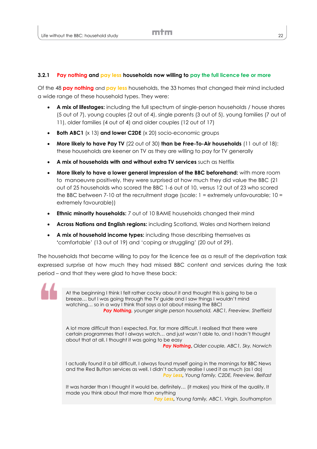#### **3.2.1 Pay nothing and pay less households now willing to pay the full licence fee or more**

Of the 48 **pay nothing** and **pay less** households, the 33 homes that changed their mind included a wide range of these household types. They were:

- **A mix of lifestages:** including the full spectrum of single-person households / house shares (5 out of 7), young couples (2 out of 4), single parents (3 out of 5), young families (7 out of 11), older families (4 out of 4) and older couples (12 out of 17)
- **Both ABC1** (x 13) **and lower C2DE** (x 20) socio-economic groups
- **More likely to have Pay TV** (22 out of 30) **than be Free-To-Air households** (11 out of 18): these households are keener on TV as they are willing to pay for TV generally
- **A mix of households with and without extra TV services** such as Netflix
- **More likely to have a lower general impression of the BBC beforehand:** with more room to manoeuvre positively, they were surprised at how much they did value the BBC (21 out of 25 households who scored the BBC 1-6 out of 10, versus 12 out of 23 who scored the BBC between 7-10 at the recruitment stage (scale:  $1 =$  extremely unfavourable;  $10 =$ extremely favourable))
- **Ethnic minority households:** 7 out of 10 BAME households changed their mind
- **Across Nations and English regions:** including Scotland, Wales and Northern Ireland
- **A mix of household income types:** including those describing themselves as **'**comfortable' (13 out of 19) and 'coping or struggling' (20 out of 29).

The households that became willing to pay for the licence fee as a result of the deprivation task expressed surprise at how much they had missed BBC content and services during the task period – and that they were glad to have these back:

> At the beginning I think I felt rather cocky about it and thought this is going to be a breeze… but I was going through the TV guide and I saw things I wouldn't mind watching… so in a way I think that says a lot about missing the BBC! *Pay Nothing, younger single person household, ABC1, Freeview, Sheffield*

> A lot more difficult than I expected. Far, far more difficult. I realised that there were certain programmes that I always watch… and just wasn't able to, and I hadn't thought about that at all. I thought it was going to be easy

*Pay Nothing***,** *Older couple, ABC1, Sky, Norwich*

I actually found it a bit difficult, I always found myself going in the mornings for BBC News and the Red Button services as well. I didn't actually realise I used it as much (as I do) *Pay Less, Young family, C2DE, Freeview, Belfast*

It was harder than I thought it would be, definitely… (it makes) you think of the quality, It made you think about that more than anything

*Pay Less, Young family, ABC1, Virgin, Southampton*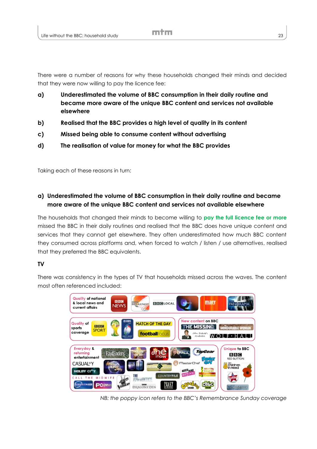There were a number of reasons for why these households changed their minds and decided that they were now willing to pay the licence fee:

- **a) Underestimated the volume of BBC consumption in their daily routine and became more aware of the unique BBC content and services not available elsewhere**
- **b) Realised that the BBC provides a high level of quality in its content**
- **c) Missed being able to consume content without advertising**
- **d) The realisation of value for money for what the BBC provides**

Taking each of these reasons in turn:

### **a) Underestimated the volume of BBC consumption in their daily routine and became more aware of the unique BBC content and services not available elsewhere**

The households that changed their minds to become willing to **pay the full licence fee or more** missed the BBC in their daily routines and realised that the BBC does have unique content and services that they cannot get elsewhere. They often underestimated how much BBC content they consumed across platforms and, when forced to watch / listen / use alternatives, realised that they preferred the BBC equivalents.

#### **TV**

There was consistency in the types of TV that households missed across the waves. The content most often referenced included:



*NB: the poppy icon refers to the BBC's Remembrance Sunday coverage*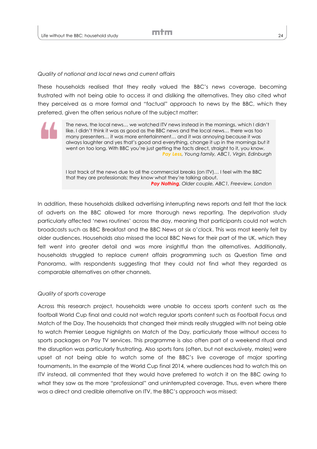#### *Quality of national and local news and current affairs*

These households realised that they really valued the BBC's news coverage, becoming frustrated with not being able to access it and disliking the alternatives. They also cited what they perceived as a more formal and "factual" approach to news by the BBC, which they preferred, given the often serious nature of the subject matter:

The news, the local news… we watched ITV news instead in the mornings, which I didn't like. I didn't think it was as good as the BBC news and the local news… there was too many presenters… it was more entertainment… and it was annoying because it was always laughter and yes that's good and everything, change it up in the mornings but it went on too long. With BBC you're just getting the facts direct, straight to it, you know. *Pay Less, Young family, ABC1, Virgin, Edinburgh*

I lost track of the news due to all the commercial breaks (on ITV)… I feel with the BBC that they are professionals; they know what they're talking about. *Pay Nothing, Older couple, ABC1, Freeview, London*

In addition, these households disliked advertising interrupting news reports and felt that the lack of adverts on the BBC allowed for more thorough news reporting. The deprivation study particularly affected 'news routines' across the day, meaning that participants could not watch broadcasts such as BBC Breakfast and the BBC News at six o'clock. This was most keenly felt by older audiences. Households also missed the local BBC News for their part of the UK, which they felt went into greater detail and was more insightful than the alternatives. Additionally, households struggled to replace current affairs programming such as Question Time and Panorama, with respondents suggesting that they could not find what they regarded as comparable alternatives on other channels.

#### *Quality of sports coverage*

Across this research project, households were unable to access sports content such as the football World Cup final and could not watch regular sports content such as Football Focus and Match of the Day. The households that changed their minds really struggled with not being able to watch Premier League highlights on Match of the Day, particularly those without access to sports packages on Pay TV services. This programme is also often part of a weekend ritual and the disruption was particularly frustrating. Also sports fans (often, but not exclusively, males) were upset at not being able to watch some of the BBC's live coverage of major sporting tournaments. In the example of the World Cup final 2014, where audiences had to watch this on ITV instead, all commented that they would have preferred to watch it on the BBC owing to what they saw as the more "professional" and uninterrupted coverage. Thus, even where there was a direct and credible alternative on ITV, the BBC's approach was missed: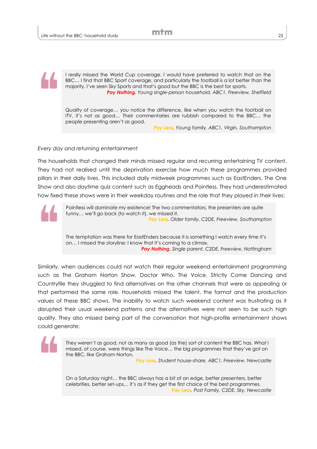I really missed the World Cup coverage. I would have preferred to watch that on the BBC… I find that BBC Sport coverage, and particularly the football is a lot better than the majority. I've seen Sky Sports and that's good but the BBC is the best for sports. *Pay Nothing, Young single-person household, ABC1, Freeview, Sheffield*

Quality of coverage… you notice the difference, like when you watch the football on ITV, it's not as good… Their commentaries are rubbish compared to the BBC… the people presenting aren't as good.

*Pay Less, Young family, ABC1, Virgin, Southampton*

#### *Every day and returning entertainment*

The households that changed their minds missed regular and recurring entertaining TV content. They had not realised until the deprivation exercise how much these programmes provided pillars in their daily lives. This included daily midweek programmes such as EastEnders, The One Show and also daytime quiz content such as Eggheads and Pointless. They had underestimated how fixed these shows were in their weekday routines and the role that they played in their lives:



Pointless will dominate my existence! The two commentators, the presenters are quite funny… we'll go back (to watch it), we missed it. *Pay Less, Older family, C2DE, Freeview, Southampton*

The temptation was there for EastEnders because it is something I watch every time it's on… I missed the storyline; I know that it's coming to a climax. *Pay Nothing, Single parent, C2DE, Freeview, Nottingham*

Similarly, when audiences could not watch their regular weekend entertainment programming such as The Graham Norton Show, Doctor Who, The Voice, Strictly Come Dancing and Countryfile they struggled to find alternatives on the other channels that were as appealing or that performed the same role. Households missed the talent, the format and the production values of these BBC shows. The inability to watch such weekend content was frustrating as it disrupted their usual weekend patterns and the alternatives were not seen to be such high quality. They also missed being part of the conversation that high-profile entertainment shows could generate:



They weren't as good, not as many as good (as the) sort of content the BBC has. What I missed, of course, were things like The Voice… the big programmes that they've got on the BBC, like Graham Norton.

*Pay Less, Student house-share, ABC1, Freeview, Newcastle*

On a Saturday night… the BBC always has a bit of an edge, better presenters, better celebrities, better set-ups… it's as if they get the first choice of the best programmes. *Pay Less, Post Family, C2DE, Sky, Newcastle*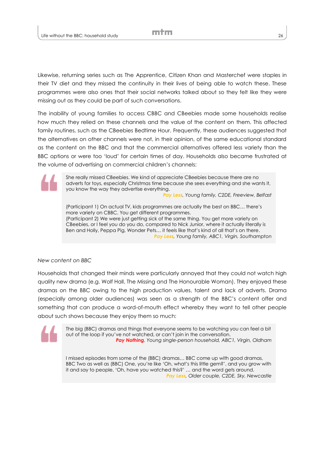Likewise, returning series such as The Apprentice, Citizen Khan and Masterchef were staples in their TV diet and they missed the continuity in their lives of being able to watch these. These programmes were also ones that their social networks talked about so they felt like they were missing out as they could be part of such conversations.

The inability of young families to access CBBC and CBeebies made some households realise how much they relied on these channels and the value of the content on them. This affected family routines, such as the CBeebies Bedtime Hour. Frequently, these audiences suggested that the alternatives on other channels were not, in their opinion, of the same educational standard as the content on the BBC and that the commercial alternatives offered less variety than the BBC options or were too 'loud' for certain times of day. Households also became frustrated at the volume of advertising on commercial children's channels:

> She really missed CBeebies. We kind of appreciate CBeebies because there are no adverts for toys, especially Christmas time because she sees everything and she wants it, you know the way they advertise everything.

*Pay Less, Young family, C2DE, Freeview, Belfast*

(Participant 1) On actual TV, kids programmes are actually the best on BBC… there's more variety on CBBC. You get different programmes. (Participant 2) We were just getting sick of the same thing. You get more variety on CBeebies, or I feel you do you do, compared to Nick Junior, where it actually literally is Ben and Holly, Peppa Pig, Wonder Pets… it feels like that's kind of all that's on there. *Pay Less, Young family, ABC1, Virgin, Southampton*

*New content on BBC* 

Households that changed their minds were particularly annoyed that they could not watch high quality new drama (e.g. Wolf Hall, The Missing and The Honourable Woman). They enjoyed these dramas on the BBC owing to the high production values, talent and lack of adverts. Drama (especially among older audiences) was seen as a strength of the BBC's content offer and something that can produce a word-of-mouth effect whereby they want to tell other people about such shows because they enjoy them so much:



The big (BBC) dramas and things that everyone seems to be watching you can feel a bit out of the loop if you've not watched, or can't join in the conversation. *Pay Nothing, Young single-person household, ABC1, Virgin, Oldham*

I missed episodes from some of the (BBC) dramas… BBC come up with good dramas, BBC Two as well as (BBC) One, you're like 'Oh, what's this little gem?', and you grow with it and say to people, 'Oh, have you watched this?' … and the word gets around. *Pay Less, Older couple, C2DE, Sky, Newcastle*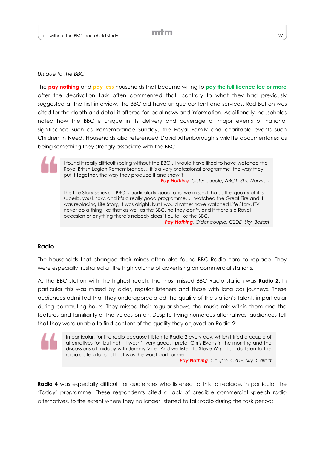*Unique to the BBC* 

The **pay nothing** and **pay less** households that became willing to **pay the full licence fee or more** after the deprivation task often commented that, contrary to what they had previously suggested at the first interview, the BBC did have unique content and services. Red Button was cited for the depth and detail it offered for local news and information. Additionally, households noted how the BBC is unique in its delivery and coverage of major events of national significance such as Remembrance Sunday, the Royal Family and charitable events such Children In Need. Households also referenced David Attenborough's wildlife documentaries as being something they strongly associate with the BBC:

I found it really difficult (being without the BBC). I would have liked to have watched the Royal British Legion Remembrance… it is a very professional programme, the way they put it together, the way they produce it and show it.

*Pay Nothing, Older couple, ABC1, Sky, Norwich*

The Life Story series on BBC is particularly good, and we missed that… the quality of it is superb, you know, and it's a really good programme… I watched the Great Fire and it was replacing Life Story, It was alright, but I would rather have watched Life Story. ITV never do a thing like that as well as the BBC, no they don't, and if there's a Royal occasion or anything there's nobody does it quite like the BBC.

*Pay Nothing, Older couple, C2DE, Sky, Belfast*

#### **Radio**

The households that changed their minds often also found BBC Radio hard to replace. They were especially frustrated at the high volume of advertising on commercial stations.

As the BBC station with the highest reach, the most missed BBC Radio station was **Radio 2**. In particular this was missed by older, regular listeners and those with long car journeys. These audiences admitted that they underappreciated the quality of the station's talent, in particular during commuting hours. They missed their regular shows, the music mix within them and the features and familiarity of the voices on air. Despite trying numerous alternatives, audiences felt that they were unable to find content of the quality they enjoyed on Radio 2:

In particular, for the radio because I listen to Radio 2 every day, which I tried a couple of alternatives for, but nah, it wasn't very good. I prefer Chris Evans in the morning and the discussions at midday with Jeremy Vine. And we listen to Steve Wright… I do listen to the radio quite a lot and that was the worst part for me.

*Pay Nothing, Couple, C2DE, Sky, Cardiff*

**Radio 4** was especially difficult for audiences who listened to this to replace, in particular the 'Today' programme. These respondents cited a lack of credible commercial speech radio alternatives, to the extent where they no longer listened to talk radio during the task period: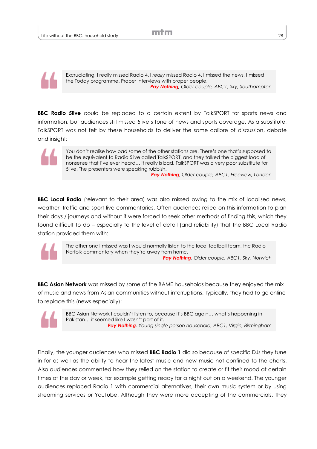

Excruciating! I really missed Radio 4. I *really* missed Radio 4. I missed the news, I missed the Today programme. Proper interviews with proper people. *Pay Nothing, Older couple, ABC1, Sky, Southampton*

**BBC Radio 5live** could be replaced to a certain extent by TalkSPORT for sports news and information, but audiences still missed 5live's tone of news and sports coverage. As a substitute, TalkSPORT was not felt by these households to deliver the same calibre of discussion, debate and insight:



You don't realise how bad some of the other stations are. There's one that's supposed to be the equivalent to Radio 5live called TalkSPORT, and they talked the biggest load of nonsense that I've ever heard… it really is bad. TalkSPORT was a very poor substitute for 5live. The presenters were speaking rubbish.

*Pay Nothing, Older couple, ABC1, Freeview, London*

**BBC Local Radio** (relevant to their area) was also missed owing to the mix of localised news, weather, traffic and sport live commentaries. Often audiences relied on this information to plan their days / journeys and without it were forced to seek other methods of finding this, which they found difficult to do – especially to the level of detail (and reliability) that the BBC Local Radio station provided them with:



The other one I missed was I would normally listen to the local football team, the Radio Norfolk commentary when they're away from home. *Pay Nothing, Older couple, ABC1, Sky, Norwich*

**BBC Asian Network** was missed by some of the BAME households because they enjoyed the mix of music and news from Asian communities without interruptions. Typically, they had to go online to replace this (news especially):



BBC Asian Network I couldn't listen to, because it's BBC again… what's happening in Pakistan… it seemed like I wasn't part of it. *Pay Nothing, Young single person household, ABC1, Virgin, Birmingham*

Finally, the younger audiences who missed **BBC Radio 1** did so because of specific DJs they tune in for as well as the ability to hear the latest music and new music not confined to the charts. Also audiences commented how they relied on the station to create or fit their mood at certain times of the day or week, for example getting ready for a night out on a weekend. The younger audiences replaced Radio 1 with commercial alternatives, their own music system or by using streaming services or YouTube. Although they were more accepting of the commercials, they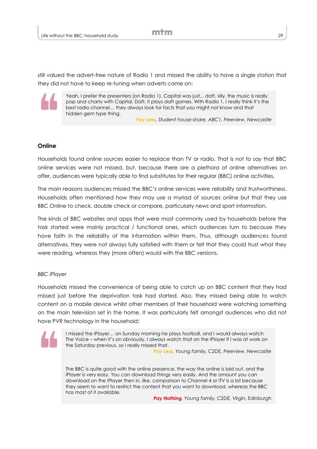still valued the advert-free nature of Radio 1 and missed the ability to have a single station that they did not have to keep re-tuning when adverts came on:



Yeah, I prefer the presenters (on Radio 1). Capital was just... daft, silly, the music is really pop and charty with Capital. Daft, it plays daft games. With Radio 1, I really think it's the best radio channel… they always look for facts that you might not know and that hidden gem type thing.

*Pay Less, Student house-share, ABC1, Freeview, Newcastle*

#### **Online**

Households found online sources easier to replace than TV or radio. That is not to say that BBC online services were not missed, but, because there are a plethora of online alternatives on offer, audiences were typically able to find substitutes for their regular (BBC) online activities.

The main reasons audiences missed the BBC's online services were reliability and trustworthiness. Households often mentioned how they may use a myriad of sources online but that they use BBC Online to check, double check or compare, particularly news and sport information.

The kinds of BBC websites and apps that were most commonly used by households before the task started were mainly practical / functional ones, which audiences turn to because they have faith in the reliability of the information within them. Thus, although audiences found alternatives, they were not always fully satisfied with them or felt that they could trust what they were reading, whereas they (more often) would with the BBC versions.

#### *BBC iPlayer*

Households missed the convenience of being able to catch up on BBC content that they had missed just before the deprivation task had started. Also, they missed being able to watch content on a mobile device whilst other members of their household were watching something on the main television set in the home. It was particularly felt amongst audiences who did not have PVR technology in the household:



I missed the iPlayer… on Sunday morning he plays football, and I would always watch The Voice – when it's on obviously. I always watch that on the iPlayer if I was at work on the Saturday previous, so I really missed that.

*Pay Less, Young family, C2DE, Freeview, Newcastle*

The BBC is quite good with the online presence, the way the online is laid out, and the iPlayer is very easy. You can download things very easily. And the amount you can download on the iPlayer then in, like, comparison to Channel 4 or ITV is a lot because they seem to want to restrict the content that you want to download, whereas the BBC has most of it available.

*Pay Nothing, Young family, C2DE, Virgin, Edinburgh*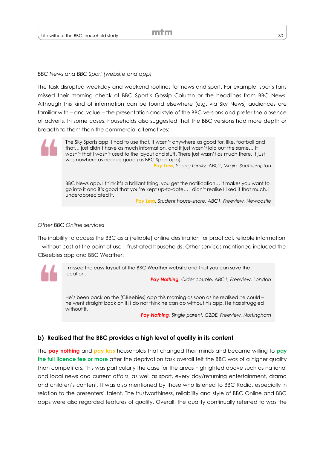#### *BBC News and BBC Sport (website and app)*

The task disrupted weekday and weekend routines for news and sport. For example, sports fans missed their morning check of BBC Sport's Gossip Column or the headlines from BBC News. Although this kind of information can be found elsewhere (e.g. via Sky News) audiences are familiar with – and value – the presentation and style of the BBC versions and prefer the absence of adverts. In some cases, households also suggested that the BBC versions had more depth or breadth to them than the commercial alternatives:

> The Sky Sports app, I had to use that, it wasn't anywhere as good for, like, football and that… just didn't have as much information, and it just wasn't laid out the same… It wasn't that I wasn't used to the layout and stuff. There just wasn't as much there. It just was nowhere as near as good (as BBC Sport app).

*Pay Less, Young family, ABC1, Virgin, Southampton*

BBC News app, I think it's a brilliant thing, you get the notification… it makes you want to go into it and it's good that you're kept up-to-date… I didn't realise I liked it that much. I underappreciated it.

*Pay Less, Student house-share, ABC1, Freeview, Newcastle*

#### *Other BBC Online services*

The inability to access the BBC as a (reliable) online destination for practical, reliable information – without cost at the point of use – frustrated households. Other services mentioned included the CBeebies app and BBC Weather:



I missed the easy layout of the BBC Weather website and that you can save the location.

*Pay Nothing, Older couple, ABC1, Freeview, London*

He's been back on the (CBeebies) app this morning as soon as he realised he could – he went straight back on it! I do not think he can do without his app. He has struggled without it.

*Pay Nothing, Single parent, C2DE, Freeview, Nottingham*

#### **b) Realised that the BBC provides a high level of quality in its content**

The **pay nothing** and **pay less** households that changed their minds and became willing to **pay the full licence fee or more** after the deprivation task overall felt the BBC was of a higher quality than competitors. This was particularly the case for the areas highlighted above such as national and local news and current affairs, as well as sport, every day/returning entertainment, drama and children's content. It was also mentioned by those who listened to BBC Radio, especially in relation to the presenters' talent. The trustworthiness, reliability and style of BBC Online and BBC apps were also regarded features of quality. Overall, the quality continually referred to was the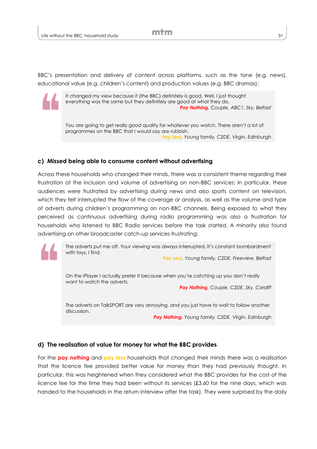BBC's presentation and delivery of content across platforms, such as the tone (e.g. news), educational value (e.g. children's content) and production values (e.g. BBC dramas):



It changed my view because it (the BBC) definitely is good. Well, I just thought everything was the same but they definitely are good at what they do. *Pay Nothing, Couple, ABC1, Sky, Belfast*

You are going to get really good quality for whatever you watch. There aren't a lot of programmes on the BBC that I would say are rubbish. *Pay Less, Young family, C2DE, Virgin, Edinburgh*

#### **c) Missed being able to consume content without advertising**

Across these households who changed their minds, there was a consistent theme regarding their frustration at the inclusion and volume of advertising on non-BBC services: In particular, these audiences were frustrated by advertising during news and also sports content on television, which they felt interrupted the flow of the coverage or analysis, as well as the volume and type of adverts during children's programming on non-BBC channels. Being exposed to what they perceived as continuous advertising during radio programming was also a frustration for households who listened to BBC Radio services before the task started. A minority also found advertising on other broadcaster catch-up services frustrating:

> The adverts put me off. Your viewing was always interrupted. It's constant bombardment with toys, I find.

*Pay Less, Young family, C2DE, Freeview, Belfast*

On the iPlayer I actually prefer it because when you're catching up you don't really want to watch the adverts.

*Pay Nothing, Couple, C2DE, Sky, Cardiff*

The adverts on TalkSPORT are very annoying, and you just have to wait to follow another discussion.

*Pay Nothing, Young family, C2DE, Virgin, Edinburgh*

#### **d) The realisation of value for money for what the BBC provides**

For the **pay nothing** and **pay less** households that changed their minds there was a realisation that the licence fee provided better value for money than they had previously thought. In particular, this was heightened when they considered what the BBC provides for the cost of the licence fee for the time they had been without its services (£3.60 for the nine days, which was handed to the households in the return interview after the task). They were surprised by the daily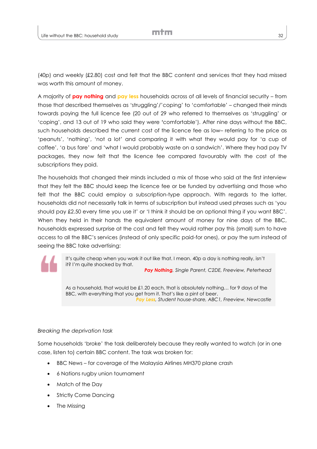(40p) and weekly (£2.80) cost and felt that the BBC content and services that they had missed was worth this amount of money.

A majority of **pay nothing** and **pay less** households across of all levels of financial security – from those that described themselves as 'struggling'/'coping' to 'comfortable' – changed their minds towards paying the full licence fee (20 out of 29 who referred to themselves as 'struggling' or 'coping', and 13 out of 19 who said they were **'**comfortable'). After nine days without the BBC, such households described the current cost of the licence fee as low– referring to the price as 'peanuts', 'nothing', 'not a lot' and comparing it with what they would pay for 'a cup of coffee', 'a bus fare' and 'what I would probably waste on a sandwich'. Where they had pay TV packages, they now felt that the licence fee compared favourably with the cost of the subscriptions they paid.

The households that changed their minds included a mix of those who said at the first interview that they felt the BBC should keep the licence fee or be funded by advertising and those who felt that the BBC could employ a subscription-type approach. With regards to the latter, households did not necessarily talk in terms of subscription but instead used phrases such as 'you should pay £2.50 every time you use it' or 'I think it should be an optional thing if you want BBC'. When they held in their hands the equivalent amount of money for nine days of the BBC, households expressed surprise at the cost and felt they would rather pay this (small) sum to have access to all the BBC's services (instead of only specific paid-for ones), or pay the sum instead of seeing the BBC take advertising:

It's quite cheap when you work it out like that. I mean, 40p a day is nothing really, isn't it? I'm quite shocked by that.

*Pay Nothing, Single Parent, C2DE, Freeview, Peterhead*

As a household, that would be £1.20 each, that is absolutely nothing… for 9 days of the BBC, with everything that you get from it. That's like a pint of beer. *Pay Less, Student house-share, ABC1, Freeview, Newcastle*

#### *Breaking the deprivation task*

Some households 'broke' the task deliberately because they really wanted to watch (or in one case, listen to) certain BBC content. The task was broken for:

- BBC News for coverage of the Malaysia Airlines MH370 plane crash
- 6 Nations rugby union tournament
- Match of the Day
- Strictly Come Dancing
- The Missing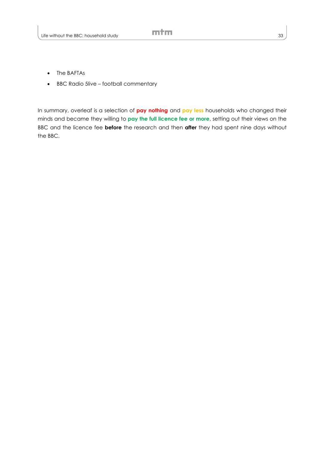- The BAFTAs
- BBC Radio 5live football commentary

In summary, overleaf is a selection of **pay nothing** and **pay less** households who changed their minds and became they willing to **pay the full licence fee or more**, setting out their views on the BBC and the licence fee **before** the research and then **after** they had spent nine days without the BBC.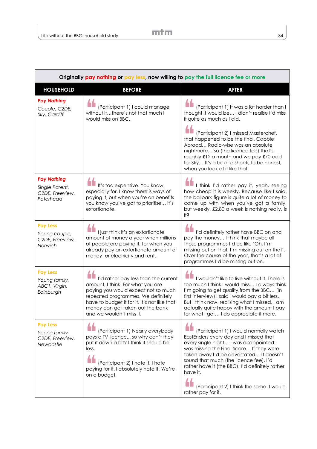| Originally pay nothing or pay less, now willing to pay the full licence fee or more |                                                                                                                                                                                                                                                                        |                                                                                                                                                                                                                                                                                                                                                                                                |
|-------------------------------------------------------------------------------------|------------------------------------------------------------------------------------------------------------------------------------------------------------------------------------------------------------------------------------------------------------------------|------------------------------------------------------------------------------------------------------------------------------------------------------------------------------------------------------------------------------------------------------------------------------------------------------------------------------------------------------------------------------------------------|
| <b>HOUSEHOLD</b>                                                                    | <b>BEFORE</b>                                                                                                                                                                                                                                                          | <b>AFTER</b>                                                                                                                                                                                                                                                                                                                                                                                   |
| <b>Pay Nothing</b><br>Couple, C2DE,<br>Sky, Cardiff                                 | (Participant 1) I could manage<br>without itthere's not that much I<br>would miss on BBC.                                                                                                                                                                              | (Participant 1) It was a lot harder than I<br>thought it would be I didn't realise I'd miss<br>it quite as much as I did.<br>(Participant 2) I missed Masterchef,                                                                                                                                                                                                                              |
|                                                                                     |                                                                                                                                                                                                                                                                        | that happened to be the final, Cabbie<br>Abroad Radio-wise was an absolute<br>nightmare so (the licence fee) that's<br>roughly £12 a month and we pay £70-odd<br>for Sky It's a bit of a shock, to be honest,<br>when you look at it like that.                                                                                                                                                |
| <b>Pay Nothing</b><br>Single Parent,<br>C2DE, Freeview,<br>Peterhead                | It's too expensive. You know,<br>especially for, I know there is ways of<br>paying it, but when you're on benefits<br>you know you've got to prioritise it's<br>extortionate.                                                                                          | I think I'd rather pay it, yeah, seeing<br>how cheap it is weekly. Because like I said,<br>the ballpark figure is quite a lot of money to<br>come up with when you've got a family,<br>but weekly, £2.80 a week is nothing really, is<br>i‡ŝ                                                                                                                                                   |
| <b>Pay Less</b><br>Young couple,<br>C2DE, Freeview,<br>Norwich                      | I just think it's an extortionate<br>amount of money a year when millions<br>of people are paying it, for when you<br>already pay an extortionate amount of<br>money for electricity and rent.                                                                         | I'd definitely rather have BBC on and<br>pay the money I think that maybe all<br>those programmes I'd be like 'Oh, I'm<br>missing out on that, I'm missing out on that'.<br>Over the course of the year, that's a lot of<br>programmes I'd be missing out on.                                                                                                                                  |
| <b>Pay Less</b><br>Young family,<br>ABC1, Virgin,<br>Edinburgh                      | I'd rather pay less than the current<br>amount, I think. For what you are<br>paying you would expect not so much<br>repeated programmes. We definitely<br>have to budget it for it. It's not like that<br>money can get taken out the bank<br>and we wouldn't miss it. | I wouldn't like to live without it. There is<br>too much I think I would miss I always think<br>I'm going to get quality from the BBC (In<br>first interview) I said I would pay a bit less.<br>But I think now, realising what I missed, I am<br>actually quite happy with the amount I pay<br>for what I get I do appreciate it more.                                                        |
| <b>Pay Less</b><br>Young family,<br>C2DE, Freeview,<br>Newcastle                    | (Participant 1) Nearly everybody<br>pays a TV licence so why can't they<br>put it down a bit? I think it should be<br>less.<br>(Participant 2) I hate it. I hate<br>paying for it. I absolutely hate it! We're<br>on a budget.                                         | (Participant 1) I would normally watch<br>EastEnders every day and I missed that<br>every single night I was disappointed I<br>was missing the Final Score If they were<br>taken away I'd be devastated It doesn't<br>sound that much (the licence fee). I'd<br>rather have it (the BBC). I'd definitely rather<br>have it.<br>(Participant 2) I think the same. I would<br>rather pay for it. |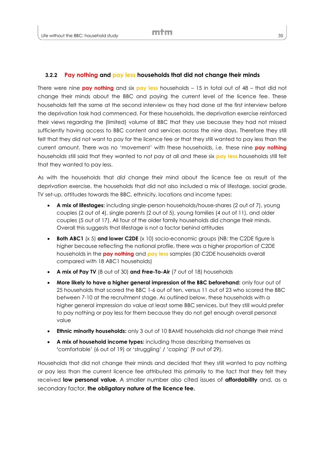#### **3.2.2 Pay nothing and pay less households that did not change their minds**

There were nine **pay nothing** and six **pay less** households – 15 in total out of 48 – that did not change their minds about the BBC and paying the current level of the licence fee. These households felt the same at the second interview as they had done at the first interview before the deprivation task had commenced. For these households, the deprivation exercise reinforced their views regarding the (limited) volume of BBC that they use because they had not missed sufficiently having access to BBC content and services across the nine days. Therefore they still felt that they did not want to pay for the licence fee or that they still wanted to pay less than the current amount. There was no 'movement' with these households, i.e. these nine **pay nothing** households still said that they wanted to not pay at all and these six **pay less** households still felt that they wanted to pay less.

As with the households that *did* change their mind about the licence fee as result of the deprivation exercise, the households that did not also included a mix of lifestage, social grade, TV set-up, attitudes towards the BBC, ethnicity, locations and income types:

- **A mix of lifestages:** including single-person households/house-shares (2 out of 7), young couples (2 out of 4), single parents (2 out of 5), young families (4 out of 11), and older couples (5 out of 17). All four of the older family households did change their minds. Overall this suggests that lifestage is not a factor behind attitudes
- **Both ABC1** (x 5) **and lower C2DE** (x 10) socio-economic groups (NB: the C2DE figure is higher because reflecting the national profile, there was a higher proportion of C2DE households in the **pay nothing** and **pay less** samples (30 C2DE households overall compared with 18 ABC1 households)
- **A mix of Pay TV** (8 out of 30) **and Free-To-Air** (7 out of 18) households
- **More likely to have a higher general impression of the BBC beforehand:** only four out of 25 households that scored the BBC 1-6 out of ten, versus 11 out of 23 who scored the BBC between 7-10 at the recruitment stage. As outlined below, these households with a higher general impression do value at least some BBC services, but they still would prefer to pay nothing or pay less for them because they do not get enough overall personal value
- **Ethnic minority households:** only 3 out of 10 BAME households did not change their mind
- **A mix of household income types:** including those describing themselves as **'**comfortable' (6 out of 19) or 'struggling' / 'coping' (9 out of 29).

Households that did not change their minds and decided that they still wanted to pay nothing or pay less than the current licence fee attributed this primarily to the fact that they felt they received **low personal value.** A smaller number also cited issues of **affordability** and, as a secondary factor, **the obligatory nature of the licence fee.**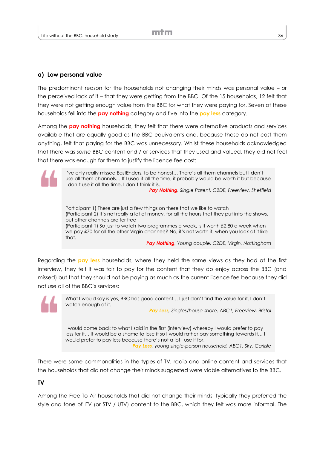#### **a) Low personal value**

The predominant reason for the households not changing their minds was personal value – or the perceived lack of it – that they were getting from the BBC. Of the 15 households, 12 felt that they were not getting enough value from the BBC for what they were paying for. Seven of these households fell into the **pay nothing** category and five into the **pay less** category.

Among the **pay nothing** households, they felt that there were alternative products and services available that are equally good as the BBC equivalents and, because these do not cost them anything, felt that paying for the BBC was unnecessary. Whilst these households acknowledged that there was *some* BBC content and / or services that they used and valued, they did not feel that there was enough for them to justify the licence fee cost:

> I've only really missed EastEnders, to be honest… There's all them channels but I don't use all them channels… If I used it all the time, it probably would be worth it but because I don't use it all the time, I don't think it is.

*Pay Nothing, Single Parent, C2DE, Freeview, Sheffield*

Participant 1) There are just a few things on there that we like to watch (Participant 2) It's not really a lot of money, for all the hours that they put into the shows, but other channels are for free (Participant 1) So just to watch two programmes a week, is it worth £2.80 a week when we pay £70 for all the other Virgin channels? No, it's not worth it, when you look at it like that.

*Pay Nothing, Young couple, C2DE, Virgin, Nottingham*

Regarding the **pay less** households, where they held the same views as they had at the first interview, they felt it was fair to pay for the content that they do enjoy across the BBC (and missed) but that they should not be paying as much as the current licence fee because they did not use all of the BBC's services:

> What I would say is yes, BBC has good content… I just don't find the value for it. I don't watch enough of it.

*Pay Less, Singles/house-share, ABC1, Freeview, Bristol*

I would come back to what I said in the first (interview) whereby I would prefer to pay less for it… It would be a shame to lose it so I would rather pay something towards it… I would prefer to pay less because there's not a lot I use if for. *Pay Less, young single-person household, ABC1, Sky, Carlisle*

There were some commonalities in the types of TV, radio and online content and services that the households that did not change their minds suggested were viable alternatives to the BBC.

#### **TV**

Among the Free-To-Air households that did not change their minds, typically they preferred the style and tone of ITV (or STV / UTV) content to the BBC, which they felt was more informal. The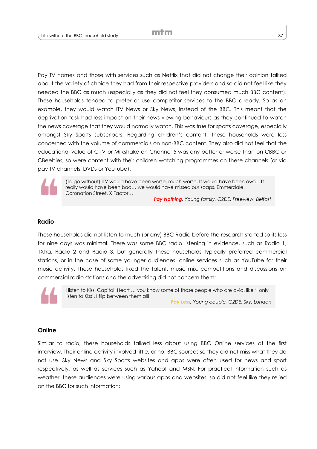Pay TV homes and those with services such as Netflix that did not change their opinion talked about the variety of choice they had from their respective providers and so did not feel like they needed the BBC as much (especially as they did not feel they consumed much BBC content). These households tended to prefer or use competitor services to the BBC already. So as an example, they would watch ITV News or Sky News, instead of the BBC. This meant that the deprivation task had less impact on their news viewing behaviours as they continued to watch the news coverage that they would normally watch. This was true for sports coverage, especially amongst Sky Sports subscribers. Regarding children's content, these households were less concerned with the volume of commercials on non-BBC content. They also did not feel that the educational value of CITV or Milkshake on Channel 5 was any better or worse than on CBBC or CBeebies, so were content with their children watching programmes on these channels (or via pay TV channels, DVDs or YouTube):



(To go without) ITV would have been worse, much worse. It would have been awful. It really would have been bad… we would have missed our soaps, Emmerdale, Coronation Street, X Factor…

*Pay Nothing, Young family, C2DE, Freeview, Belfast*

#### **Radio**

These households did not listen to much (or any) BBC Radio before the research started so its loss for nine days was minimal. There was some BBC radio listening in evidence, such as Radio 1, 1Xtra, Radio 2 and Radio 3, but generally these households typically preferred commercial stations, or in the case of some younger audiences, online services such as YouTube for their music activity. These households liked the talent, music mix, competitions and discussions on commercial radio stations and the advertising did not concern them:

I listen to Kiss, Capital, Heart … you know some of those people who are avid, like 'I only listen to Kiss', I flip between them all! *Pay Less, Young couple, C2DE, Sky, London*

#### **Online**

Similar to radio, these households talked less about using BBC Online services at the first interview. Their online activity involved little, or no, BBC sources so they did not miss what they do not use. Sky News and Sky Sports websites and apps were often used for news and sport respectively, as well as services such as Yahoo! and MSN. For practical information such as weather, these audiences were using various apps and websites, so did not feel like they relied on the BBC for such information: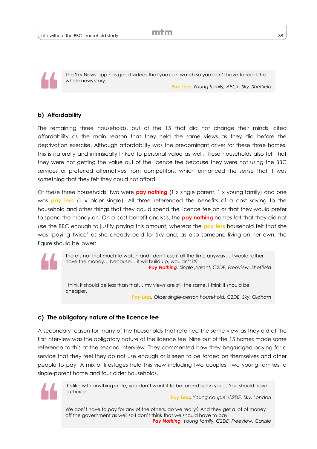The Sky News app has good videos that you can watch so you don't have to read the whole news story. *Pay Less, Young family, ABC1, Sky, Sheffield*

#### **b) Affordability**

The remaining three households, out of the 15 that did not change their minds, cited affordability as the main reason that they held the same views as they did before the deprivation exercise. Although affordability was the predominant driver for these three homes, this is naturally and intrinsically linked to personal value as well. These households also felt that they were not getting the value out of the licence fee because they were not using the BBC services or preferred alternatives from competitors, which enhanced the sense that it was something that they felt they could not afford.

Of these three households, two were **pay nothing** (1 x single parent, 1 x young family) and one was **pay less** (1 x older single). All three referenced the benefits of a cost saving to the household and other things that they could spend the licence fee on or that they would prefer to spend the money on. On a cost-benefit analysis, the **pay nothing** homes felt that they did not use the BBC enough to justify paying this amount, whereas the **pay less** household felt that she was 'paying twice' as she already paid for Sky and, as also someone living on her own, the figure should be lower:

> There's not that much to watch and I don't use it all the time anyway… I would rather have the money... because... it will build up, wouldn't it? *Pay Nothing, Single parent, C2DE, Freeview, Sheffield*

> I think it should be less than that… my views are still the same. I think it should be cheaper. *Pay Less, Older single-person household, C2DE, Sky, Oldham*

### **c) The obligatory nature of the licence fee**

A secondary reason for many of the households that retained the same view as they did at the first interview was the obligatory nature of the licence fee. Nine out of the 15 homes made some reference to this at the second interview. They commented how they begrudged paying for a service that they feel they do not use enough or is seen to be forced on themselves and other people to pay. A mix of lifestages held this view including two couples, two young families, a single-parent home and four older households.



It's like with anything in life, you don't want it to be forced upon you… You should have a choice

*Pay Less, Young couple, C2DE, Sky, London*

We don't have to pay for any of the others, do we really? And they get a lot of money off the government as well so I don't think that we should have to pay *Pay Nothing, Young family, C2DE, Freeview, Carlisle*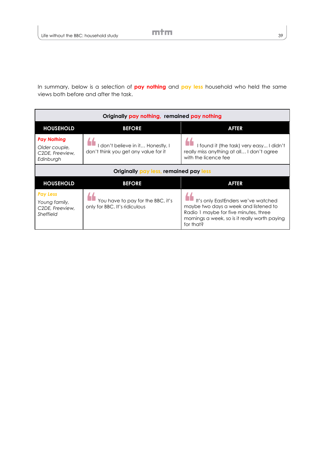In summary, below is a selection of **pay nothing** and **pay less** household who held the same views both before and after the task.

| Originally pay nothing, remained pay nothing                        |                                                                         |                                                                                                                                                                                    |
|---------------------------------------------------------------------|-------------------------------------------------------------------------|------------------------------------------------------------------------------------------------------------------------------------------------------------------------------------|
| <b>HOUSEHOLD</b>                                                    | <b>BEFORE</b>                                                           | <b>AFTER</b>                                                                                                                                                                       |
| <b>Pay Nothing</b><br>Older couple,<br>C2DE, Freeview,<br>Edinburgh | don't believe in it Honestly, I<br>don't think you get any value for it | I found it (the task) very easy I didn't<br>really miss anything at all I don't agree<br>with the licence fee                                                                      |
| Originally pay less, remained pay less                              |                                                                         |                                                                                                                                                                                    |
| <b>HOUSEHOLD</b>                                                    | <b>BEFORE</b>                                                           | <b>AFTER</b>                                                                                                                                                                       |
| <b>Pay Less</b><br>Young family,<br>C2DE, Freeview,<br>Sheffield    | You have to pay for the BBC, it's<br>only for BBC. It's ridiculous      | It's only EastEnders we've watched<br>maybe two days a week and listened to<br>Radio 1 maybe for five minutes, three<br>mornings a week, so is it really worth paying<br>for that? |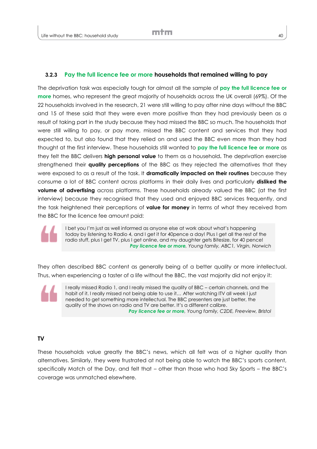#### **3.2.3 Pay the full licence fee or more households that remained willing to pay**

The deprivation task was especially tough for almost all the sample of **pay the full licence fee or more** homes, who represent the great majority of households across the UK overall (69%). Of the 22 households involved in the research, 21 were still willing to pay after nine days without the BBC and 15 of these said that they were even more positive than they had previously been as a result of taking part in the study because they had missed the BBC so much. The households that were still willing to pay, or pay more, missed the BBC content and services that they had expected to, but also found that they relied on and used the BBC even more than they had thought at the first interview. These households still wanted to **pay the full licence fee or more** as they felt the BBC delivers **high personal value** to them as a household**.** The deprivation exercise strengthened their **quality perceptions** of the BBC as they rejected the alternatives that they were exposed to as a result of the task. It **dramatically impacted on their routines** because they consume a lot of BBC content across platforms in their daily lives and particularly **disliked the volume of advertising** across platforms. These households already valued the BBC (at the first interview) because they recognised that they used and enjoyed BBC services frequently, and the task heightened their perceptions of **value for money** in terms of what they received from the BBC for the licence fee amount paid:

I bet you I'm just as well informed as anyone else at work about what's happening today by listening to Radio 4, and I get it for 40pence a day! Plus I get all the rest of the radio stuff, plus I get TV, plus I get online, and my daughter gets Bitesize, for 40 pence! *Pay licence fee or more, Young family, ABC1, Virgin, Norwich*

They often described BBC content as generally being of a better quality or more intellectual. Thus, when experiencing a taster of a life without the BBC, the vast majority did not enjoy it:

I really missed Radio 1, and I really missed the quality of BBC – certain channels, and the habit of it. I really missed not being able to use it… After watching ITV all week I just needed to get something more intellectual. The BBC presenters are just better, the quality of the shows on radio and TV are better. It's a different calibre. *Pay licence fee or more, Young family, C2DE, Freeview, Bristol*

#### **TV**

These households value greatly the BBC's news, which all felt was of a higher quality than alternatives. Similarly, they were frustrated at not being able to watch the BBC's sports content, specifically Match of the Day, and felt that – other than those who had Sky Sports – the BBC's coverage was unmatched elsewhere.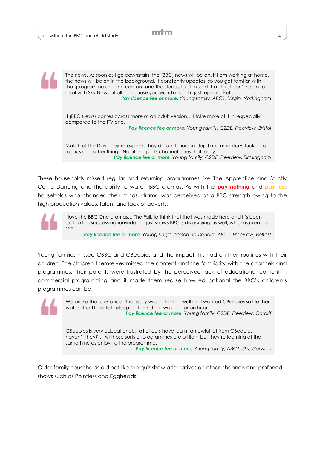The news. As soon as I go downstairs, the (BBC) news will be on. If I am working at home, the news will be on in the background. It constantly updates, so you get familiar with that programme and the content and the stories. I just missed that, I just can't seem to deal with Sky News at all – because you watch it and it just repeats itself. *Pay licence fee or more, Young family, ABC1, Virgin, Nottingham*

It (BBC News) comes across more of an adult version… I take more of it in, especially compared to the ITV one.

*Pay licence fee or more, Young family, C2DE, Freeview, Bristol*

Match of the Day, they're experts. They do a lot more in-depth commentary, looking at tactics and other things. No other sports channel does that really. *Pay licence fee or more, Young family, C2DE, Freeview, Birmingham*

These households missed regular and returning programmes like The Apprentice and Strictly Come Dancing and the ability to watch BBC dramas. As with the **pay nothing** and **pay less** households who changed their minds, drama was perceived as a BBC strength owing to the high production values, talent and lack of adverts:

I love the BBC One dramas… The Fall, to think that that was made here and it's been such a big success nationwide… it just shows BBC is diversifying as well, which is great to see.

*Pay licence fee or more, Young single-person household, ABC1, Freeview, Belfast*

Young families missed CBBC and CBeebies and the impact this had on their routines with their children. The children themselves missed the content and the familiarity with the channels and programmes. Their parents were frustrated by the perceived lack of educational content in commercial programming and it made them realise how educational the BBC's children's programmes can be:



We broke the rules once. She really wasn't feeling well and wanted CBeebies so I let her watch it until she fell asleep on the sofa, it was just for an hour. *Pay licence fee or more, Young family, C2DE, Freeview, Cardiff*

CBeebies is very educational… all of ours have learnt an awful lot from CBeebies haven't they?... All those sorts of programmes are brilliant but they're learning at the same time as enjoying the programme.

*Pay licence fee or more, Young family, ABC1, Sky, Norwich*

Older family households did not like the quiz show alternatives on other channels and preferred shows such as Pointless and Eggheads: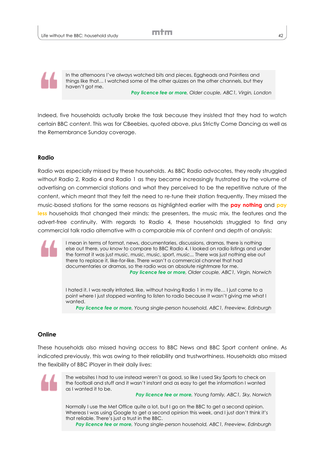In the afternoons I've always watched bits and pieces, Eggheads and Pointless and things like that… I watched some of the other quizzes on the other channels, but they haven't got me.

*Pay licence fee or more, Older couple, ABC1, Virgin, London*

Indeed, five households actually broke the task because they insisted that they had to watch certain BBC content. This was for CBeebies, quoted above, plus Strictly Come Dancing as well as the Remembrance Sunday coverage.

#### **Radio**

Radio was especially missed by these households. As BBC Radio advocates, they really struggled without Radio 2, Radio 4 and Radio 1 as they became increasingly frustrated by the volume of advertising on commercial stations and what they perceived to be the repetitive nature of the content, which meant that they felt the need to re-tune their station frequently. They missed the music-based stations for the same reasons as highlighted earlier with the **pay nothing** and **pay less** households that changed their minds: the presenters, the music mix, the features and the advert-free continuity. With regards to Radio 4, these households struggled to find any commercial talk radio alternative with a comparable mix of content and depth of analysis:

I mean in terms of format, news, documentaries, discussions, dramas, there is nothing else out there, you know to compare to BBC Radio 4. I looked on radio listings and under the format it was just music, music, music, sport, music... There was just nothing else out there to replace it, like-for-like. There wasn't a commercial channel that had documentaries or dramas, so the radio was an absolute nightmare for me. *Pay licence fee or more, Older couple, ABC1, Virgin, Norwich*

I hated it. I was really irritated, like, without having Radio 1 in my life… I just came to a point where I just stopped wanting to listen to radio because it wasn't giving me what I wanted.

*Pay licence fee or more, Young single-person household, ABC1, Freeview, Edinburgh*

#### **Online**

These households also missed having access to BBC News and BBC Sport content online. As indicated previously, this was owing to their reliability and trustworthiness. Households also missed the flexibility of BBC iPlayer in their daily lives:



The websites I had to use instead weren't as good, so like I used Sky Sports to check on the football and stuff and it wasn't instant and as easy to get the information I wanted as I wanted it to be.

*Pay licence fee or more, Young family, ABC1, Sky, Norwich*

Normally I use the Met Office quite a lot, but I go on the BBC to get a second opinion. Whereas I was using Google to get a second opinion this week, and I just don't think it's that reliable. There's just a trust in the BBC.

*Pay licence fee or more, Young single-person household, ABC1, Freeview, Edinburgh*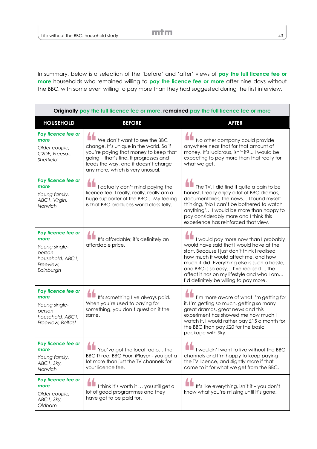In summary, below is a selection of the 'before' and 'after' views of **pay the full licence fee or more** households who remained willing to **pay the licence fee or more** after nine days without the BBC, with some even willing to pay more than they had suggested during the first interview.

| Originally pay the full licence fee or more, remained pay the full licence fee or more              |                                                                                                                                                                                                                                        |                                                                                                                                                                                                                                                                                                                                                             |
|-----------------------------------------------------------------------------------------------------|----------------------------------------------------------------------------------------------------------------------------------------------------------------------------------------------------------------------------------------|-------------------------------------------------------------------------------------------------------------------------------------------------------------------------------------------------------------------------------------------------------------------------------------------------------------------------------------------------------------|
| <b>HOUSEHOLD</b>                                                                                    | <b>BEFORE</b>                                                                                                                                                                                                                          | <b>AFTER</b>                                                                                                                                                                                                                                                                                                                                                |
| Pay licence fee or<br>more<br>Older couple,<br>C2DE, Freesat,<br><b>Sheffield</b>                   | We don't want to see the BBC<br>change. It's unique in the world. So if<br>you're paying that money to keep that<br>going - that's fine. It progresses and<br>leads the way, and it doesn't charge<br>any more, which is very unusual. | No other company could provide<br>anywhere near that for that amount of<br>money. It's ludicrous, isn't it? I would be<br>expecting to pay more than that really for<br>what we get.                                                                                                                                                                        |
| Pay licence fee or<br>more<br>Young family,<br>ABC1, Virgin,<br>Norwich                             | I actually don't mind paying the<br>licence fee. I really, really, really am a<br>huge supporter of the BBC My feeling<br>is that BBC produces world class telly.                                                                      | The TV, I did find it quite a pain to be<br>honest. I really enjoy a lot of BBC dramas,<br>documentaries, the news I found myself<br>thinking, 'No I can't be bothered to watch<br>anything' I would be more than happy to<br>pay considerably more and I think this<br>experience has reinforced that view.                                                |
| Pay licence fee or<br>more<br>Young single-<br>person<br>household, ABC1,<br>Freeview,<br>Edinburgh | It's affordable; it's definitely an<br>affordable price.                                                                                                                                                                               | I would pay more now than I probably<br>would have said that I would have at the<br>start. Because I just don't think I realised<br>how much it would affect me, and how<br>much it did. Everything else is such a hassle,<br>and BBC is so easy I've realised  the<br>affect it has on my lifestyle and who I am<br>I'd definitely be willing to pay more. |
| Pay licence fee or<br>more<br>Young single-<br>person<br>household, ABC1,<br>Freeview, Belfast      | It's something I've always paid.<br>When you're used to paying for<br>something, you don't question it the<br>same.                                                                                                                    | I'm more aware of what I'm getting for<br>it. I'm getting so much, getting so many<br>great dramas, great news and this<br>experiment has showed me how much I<br>watch it. I would rather pay £15 a month for<br>the BBC than pay £20 for the basic<br>package with Sky.                                                                                   |
| Pay licence fee or<br>more<br>Young family,<br>ABC1, Sky,<br>Norwich                                | $\sqrt{2}$<br>You've got the local radio the<br>BBC Three, BBC Four, iPlayer - you get a<br>lot more than just the TV channels for<br>your licence fee.                                                                                | $\sqrt{2}$<br>I wouldn't want to live without the BBC<br>channels and I'm happy to keep paying<br>the TV licence, and slightly more if that<br>came to it for what we get from the BBC.                                                                                                                                                                     |
| Pay licence fee or<br>more<br>Older couple,<br>ABC1, Sky,<br>Oldham                                 | I think it's worth it  you still get a<br>lot of good programmes and they<br>have got to be paid for.                                                                                                                                  | It's like everything, isn't it - you don't<br>know what you're missing until it's gone.                                                                                                                                                                                                                                                                     |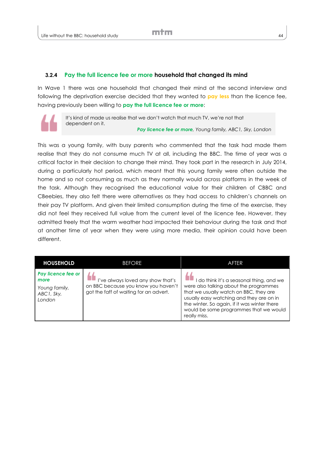#### **3.2.4 Pay the full licence fee or more household that changed its mind**

In Wave 1 there was one household that changed their mind at the second interview and following the deprivation exercise decided that they wanted to **pay less** than the licence fee, having previously been willing to **pay the full licence fee or more**:



It's kind of made us realise that we don't watch that much TV, we're not that dependent on it. *Pay licence fee or more, Young family, ABC1, Sky, London*

This was a young family, with busy parents who commented that the task had made them realise that they do not consume much TV at all, including the BBC. The time of year was a critical factor in their decision to change their mind. They took part in the research in July 2014, during a particularly hot period, which meant that this young family were often outside the home and so not consuming as much as they normally would across platforms in the week of the task. Although they recognised the educational value for their children of CBBC and CBeebies, they also felt there were alternatives as they had access to children's channels on their pay TV platform. And given their limited consumption during the time of the exercise, they did not feel they received full value from the current level of the licence fee. However, they admitted freely that the warm weather had impacted their behaviour during the task and that at another time of year when they were using more media, their opinion could have been different.

| <b>HOUSEHOLD</b>                                                    | <b>BEFORE</b>                                                                                                      | AFTER                                                                                                                                                                                                                                                                              |
|---------------------------------------------------------------------|--------------------------------------------------------------------------------------------------------------------|------------------------------------------------------------------------------------------------------------------------------------------------------------------------------------------------------------------------------------------------------------------------------------|
| Pay licence fee or<br>more<br>Young family,<br>ABC1, Sky,<br>London | I've always loved any show that's<br>on BBC because you know you haven't<br>got the faff of waiting for an advert. | I do think it's a seasonal thing, and we<br>were also talking about the programmes<br>that we usually watch on BBC, they are<br>usually easy watching and they are on in<br>the winter. So again, if it was winter there<br>would be some programmes that we would<br>really miss. |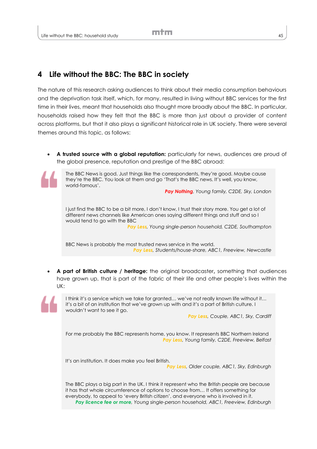# **4 Life without the BBC: The BBC in society**

The nature of this research asking audiences to think about their media consumption behaviours and the deprivation task itself, which, for many, resulted in living without BBC services for the first time in their lives, meant that households also thought more broadly about the BBC. In particular, households raised how they felt that the BBC is more than just about a provider of content across platforms, but that it also plays a significant historical role in UK society. There were several themes around this topic, as follows:

A trusted source with a global reputation: particularly for news, audiences are proud of the global presence, reputation and prestige of the BBC abroad:



The BBC News is good. Just things like the correspondents, they're good. Maybe cause they're the BBC. You look at them and go 'That's the BBC news. It's well, you know, world-famous'.

*Pay Nothing, Young family, C2DE, Sky, London*

I just find the BBC to be a bit more, I don't know, I trust their story more. You get a lot of different news channels like American ones saying different things and stuff and so I would tend to go with the BBC

*Pay Less, Young single-person household, C2DE, Southampton*

BBC News is probably the most trusted news service in the world. *Pay Less, Students/house-share, ABC1, Freeview, Newcastle*

 **A part of British culture / heritage:** the original broadcaster**,** something that audiences have grown up, that is part of the fabric of their life and other people's lives within the UK:



I think it's a service which we take for granted… we've not really known life without it… it's a bit of an institution that we've grown up with and it's a part of British culture. I wouldn't want to see it go.

*Pay Less, Couple, ABC1, Sky, Cardiff*

For me probably the BBC represents home, you know. It represents BBC Northern Ireland *Pay Less, Young family, C2DE, Freeview, Belfast*

It's an institution. It does make you feel British.

*Pay Less, Older couple, ABC1, Sky, Edinburgh*

The BBC plays a big part in the UK. I think it represent who the British people are because it has that whole circumference of options to choose from… It offers something for everybody, to appeal to 'every British citizen', and everyone who is involved in it. *Pay licence fee or more, Young single-person household, ABC1, Freeview, Edinburgh*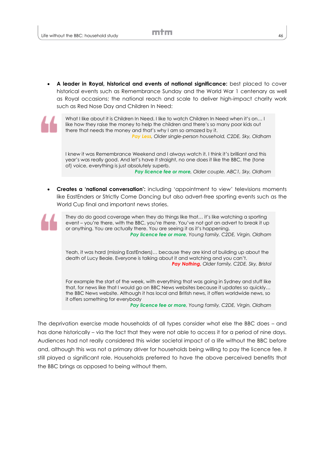**A leader in Royal, historical and events of national significance:** best placed to cover historical events such as Remembrance Sunday and the World War 1 centenary as well as Royal occasions; the national reach and scale to deliver high-impact charity work such as Red Nose Day and Children In Need:

What I like about it is Children In Need. I like to watch Children In Need when it's on… I like how they raise the money to help the children and there's so many poor kids out there that needs the money and that's why I am so amazed by it. *Pay Less, Older single-person household, C2DE, Sky, Oldham*

I knew it was Remembrance Weekend and I always watch it. I think it's brilliant and this year's was really good. And let's have it straight, no one does it like the BBC, the (tone of) voice, everything is just absolutely superb. *Pay licence fee or more, Older couple, ABC1, Sky, Oldham*

**Creates a 'national conversation':** including 'appointment to view' televisions moments like EastEnders or Strictly Come Dancing but also advert-free sporting events such as the World Cup final and important news stories.

They do do good coverage when they do things like that… it's like watching a sporting event – you're there, with the BBC, you're *there*. You've not got an advert to break it up or anything. You are actually there. You are seeing it as it's happening. *Pay licence fee or more, Young family, C2DE, Virgin, Oldham*

Yeah, it was hard (missing EastEnders)… because they are kind of building up about the death of Lucy Beale. Everyone is talking about it and watching and you can't. *Pay Nothing, Older family, C2DE, Sky, Bristol*

For example the start of the week, with everything that was going in Sydney and stuff like that, for news like that I would go on BBC News websites because it updates so quickly… the BBC News website. Although it has local and British news, it offers worldwide news, so it offers something for everybody

*Pay licence fee or more, Young family, C2DE, Virgin, Oldham*

The deprivation exercise made households of all types consider what else the BBC does – and has done historically – via the fact that they were not able to access it for a period of nine days. Audiences had not really considered this wider societal impact of a life without the BBC before and, although this was not a primary driver for households being willing to pay the licence fee, it still played a significant role. Households preferred to have the above perceived benefits that the BBC brings as opposed to being without them.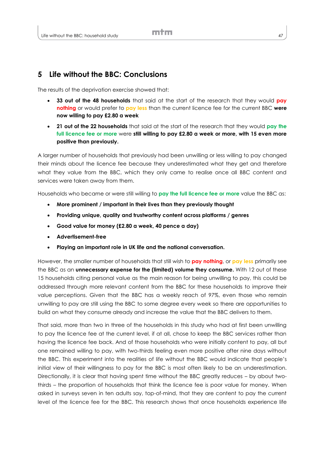# **5 Life without the BBC: Conclusions**

The results of the deprivation exercise showed that:

- **33 out of the 48 households** that said at the start of the research that they would **pay nothing** or would prefer to **pay less** than the current licence fee for the current BBC **were now willing to pay £2.80 a week**
- **21 out of the 22 households** that said at the start of the research that they would **pay the full licence fee or more** were **still willing to pay £2.80 a week or more, with 15 even more positive than previously.**

A larger number of households that previously had been unwilling or less willing to pay changed their minds about the licence fee because they underestimated what they get and therefore what they value from the BBC, which they only came to realise once all BBC content and services were taken away from them.

Households who became or were still willing to **pay the full licence fee or more** value the BBC as:

- **More prominent / important in their lives than they previously thought**
- **Providing unique, quality and trustworthy content across platforms / genres**
- **Good value for money (£2.80 a week, 40 pence a day)**
- **Advertisement-free**
- **Playing an important role in UK life and the national conversation.**

However, the smaller number of households that still wish to **pay nothing**, or **pay less** primarily see the BBC as an **unnecessary expense for the (limited) volume they consume.** With 12 out of these 15 households citing personal value as the main reason for being unwilling to pay, this could be addressed through more relevant content from the BBC for these households to improve their value perceptions. Given that the BBC has a weekly reach of 97%, even those who remain unwilling to pay are still using the BBC to some degree every week so there are opportunities to build on what they consume already and increase the value that the BBC delivers to them.

That said, more than two in three of the households in this study who had at first been unwilling to pay the licence fee at the current level, if at all, chose to keep the BBC services rather than having the licence fee back. And of those households who were initially content to pay, all but one remained willing to pay, with two-thirds feeling even more positive after nine days without the BBC. This experiment into the realities of life without the BBC would indicate that people's initial view of their willingness to pay for the BBC is most often likely to be an underestimation. Directionally, it is clear that having spent time without the BBC greatly reduces – by about twothirds – the proportion of households that think the licence fee is poor value for money. When asked in surveys seven in ten adults say, top-of-mind, that they are content to pay the current level of the licence fee for the BBC. This research shows that once households experience life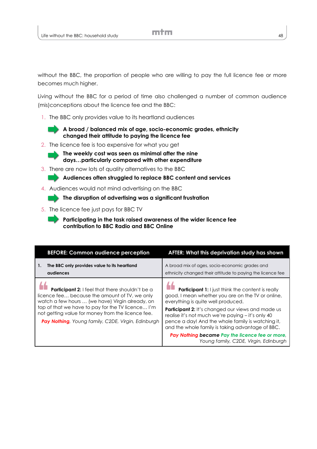without the BBC, the proportion of people who are willing to pay the full licence fee or more becomes much higher.

Living without the BBC for a period of time also challenged a number of common audience (mis)conceptions about the licence fee and the BBC:

1. The BBC only provides value to its heartland audiences

**A broad / balanced mix of age, socio-economic grades, ethnicity changed their attitude to paying the licence fee**

2. The licence fee is too expensive for what you get



**The weekly cost was seen as minimal after the nine days…particularly compared with other expenditure** 

3. There are now lots of quality alternatives to the BBC

**Audiences often struggled to replace BBC content and services**

4. Audiences would not mind advertising on the BBC

**The disruption of advertising was a significant frustration**

5. The licence fee just pays for BBC TV

**Participating in the task raised awareness of the wider licence fee contribution to BBC Radio and BBC Online**

| <b>BEFORE: Common audience perception</b>                                                                                                                                                                                                                                                                           | AFTER: What this deprivation study has shown                                                                                                                                                                                                                                                                                                                                                                                                                              |
|---------------------------------------------------------------------------------------------------------------------------------------------------------------------------------------------------------------------------------------------------------------------------------------------------------------------|---------------------------------------------------------------------------------------------------------------------------------------------------------------------------------------------------------------------------------------------------------------------------------------------------------------------------------------------------------------------------------------------------------------------------------------------------------------------------|
| The BBC only provides value to its heartland<br>1.<br>audiences                                                                                                                                                                                                                                                     | A broad mix of ages, socio-economic grades and<br>ethnicity changed their attitude to paying the licence fee                                                                                                                                                                                                                                                                                                                                                              |
| Participant 2: I feel that there shouldn't be a<br>licence fee because the amount of TV, we only<br>watch a few hours  (we have) Virgin already, on<br>top of that we have to pay for the TV licence I'm<br>not getting value for money from the licence fee.<br>Pay Nothing, Young family, C2DE, Virgin, Edinburgh | <b>Participant 1:</b> I just think the content is really<br>good. I mean whether you are on the TV or online,<br>everything is quite well produced.<br><b>Participant 2:</b> It's changed our views and made us<br>realise it's not much we're paying - it's only 40<br>pence a day! And the whole family is watching it,<br>and the whole family is taking advantage of BBC.<br>Pay Nothing became Pay the licence fee or more,<br>Young family, C2DE, Virgin, Edinburgh |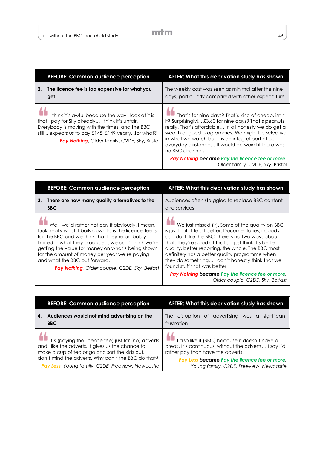| <b>BEFORE: Common audience perception</b>                                                                                                                                                                                                                       | AFTER: What this deprivation study has shown                                                                                                                                                                                                                                                                                                                                                                                                              |
|-----------------------------------------------------------------------------------------------------------------------------------------------------------------------------------------------------------------------------------------------------------------|-----------------------------------------------------------------------------------------------------------------------------------------------------------------------------------------------------------------------------------------------------------------------------------------------------------------------------------------------------------------------------------------------------------------------------------------------------------|
| The licence fee is too expensive for what you<br>2.<br>get                                                                                                                                                                                                      | The weekly cost was seen as minimal after the nine<br>days, particularly compared with other expenditure                                                                                                                                                                                                                                                                                                                                                  |
| I think it's awful because the way I look at it is<br>that I pay for Sky already I think it's unfair.<br>Everybody is moving with the times, and the BBC<br>still expects us to pay £145, £149 yearlyfor what?<br>Pay Nothing, Older family, C2DE, Sky, Bristol | That's for nine days? That's kind of cheap, isn't<br>it? Surprisingly! £3.60 for nine days? That's peanuts<br>really. That's affordable In all honesty we do get a<br>wealth of good programmes. We might be selective<br>in what we watch but it is an integral part of our<br>everyday existence It would be weird if there was<br>no BBC channels.<br>Pay Nothing became Pay the licence fee or more,<br>Older family, C <sub>2</sub> DE, Sky, Bristol |

| <b>BEFORE: Common audience perception</b>                                                                                                                                                                                                                                                                                                                                                                  | AFTER: What this deprivation study has shown                                                                                                                                                                                                                                                                                                                                                                     |
|------------------------------------------------------------------------------------------------------------------------------------------------------------------------------------------------------------------------------------------------------------------------------------------------------------------------------------------------------------------------------------------------------------|------------------------------------------------------------------------------------------------------------------------------------------------------------------------------------------------------------------------------------------------------------------------------------------------------------------------------------------------------------------------------------------------------------------|
| 3 <sub>1</sub><br>There are now many quality alternatives to the<br><b>BBC</b>                                                                                                                                                                                                                                                                                                                             | Audiences often struggled to replace BBC content<br>and services                                                                                                                                                                                                                                                                                                                                                 |
| Well, we'd rather not pay it obviously. I mean,<br>look, really what it boils down to is the licence fee is<br>for the BBC and we think that they're probably<br>limited in what they produce we don't think we're<br>getting the value for money on what's being shown<br>for the amount of money per year we're paying<br>and what the BBC put forward.<br>Pay Nothing, Older couple, C2DE, Sky, Belfast | We just missed (it). Some of the quality on BBC<br>is just that little bit better. Documentaries, nobody<br>can do it like the BBC, there's no two ways about<br>that. They're good at that I just think it's better<br>quality, better reporting, the whole. The BBC most<br>definitely has a better quality programme when<br>they do something I don't honestly think that we<br>found stuff that was better. |
|                                                                                                                                                                                                                                                                                                                                                                                                            | Pay Nothing became Pay the licence fee or more,<br>Older couple, C2DE, Sky, Belfast                                                                                                                                                                                                                                                                                                                              |

| <b>BEFORE: Common audience perception</b>           | <b>AFTER: What this deprivation study has shown</b>   |
|-----------------------------------------------------|-------------------------------------------------------|
| Audiences would not mind advertising on the         | The disruption of advertising was a                   |
| 4.                                                  | significant                                           |
| <b>BBC</b>                                          | frustration                                           |
| It's (paying the licence fee) just for (no) adverts | I also like it (BBC) because it doesn't have a        |
| and I like the adverts. It gives us the chance to   | break. It's continuous, without the adverts I say I'd |
| make a cup of tea or go and sort the kids out. I    | rather pay than have the adverts.                     |
| don't mind the adverts. Why can't the BBC do that?  | Pay Less became Pay the licence fee or more,          |
| Pay Less, Young family, C2DE, Freeview, Newcastle   | Young family, C2DE, Freeview, Newcastle               |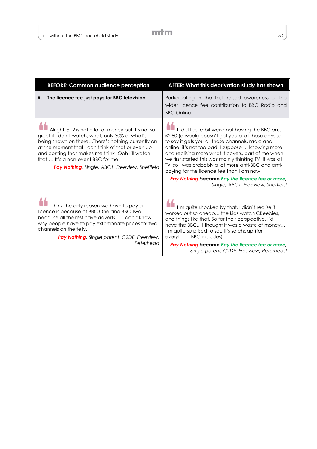| <b>BEFORE: Common audience perception</b>                                                                                                                                                                                                                                                                                                                 | AFTER: What this deprivation study has shown                                                                                                                                                                                                                                                                                                                                                                                                                                                                               |
|-----------------------------------------------------------------------------------------------------------------------------------------------------------------------------------------------------------------------------------------------------------------------------------------------------------------------------------------------------------|----------------------------------------------------------------------------------------------------------------------------------------------------------------------------------------------------------------------------------------------------------------------------------------------------------------------------------------------------------------------------------------------------------------------------------------------------------------------------------------------------------------------------|
| The licence fee just pays for BBC television<br>5.                                                                                                                                                                                                                                                                                                        | Participating in the task raised awareness of the<br>wider licence fee contribution to BBC Radio and<br><b>BBC Online</b>                                                                                                                                                                                                                                                                                                                                                                                                  |
| Alright, £12 is not a lot of money but it's not so<br>great if I don't watch, what, only 30% of what's<br>being shown on thereThere's nothing currently on<br>at the moment that I can think of that or even up<br>and coming that makes me think 'Ooh I'll watch<br>that' It's a non-event BBC for me.<br>Pay Nothing, Single, ABC1, Freeview, Sheffield | It did feel a bit weird not having the BBC on<br>£2.80 (a week) doesn't get you a lot these days so<br>to say it gets you all those channels, radio and<br>online, it's not too bad, I suppose  knowing more<br>and realising more what it covers, part of me when<br>we first started this was mainly thinking TV, it was all<br>TV, so I was probably a lot more anti-BBC and anti-<br>paying for the licence fee than I am now.<br>Pay Nothing became Pay the licence fee or more,<br>Single, ABC1, Freeview, Sheffield |
| I think the only reason we have to pay a<br>licence is because of BBC One and BBC Two<br>because all the rest have adverts  I don't know<br>why people have to pay extortionate prices for two<br>channels on the telly.<br>Pay Nothing, Single parent, C2DE, Freeview,<br>Peterhead                                                                      | I'm quite shocked by that. I didn't realise it<br>worked out so cheap the kids watch CBeebies,<br>and things like that. So for their perspective, I'd<br>have the BBC I thought it was a waste of money<br>I'm quite surprised to see it's so cheap (for<br>everything BBC includes).<br>Pay Nothing became Pay the licence fee or more,<br>Single parent, C2DE, Freeview, Peterhead                                                                                                                                       |